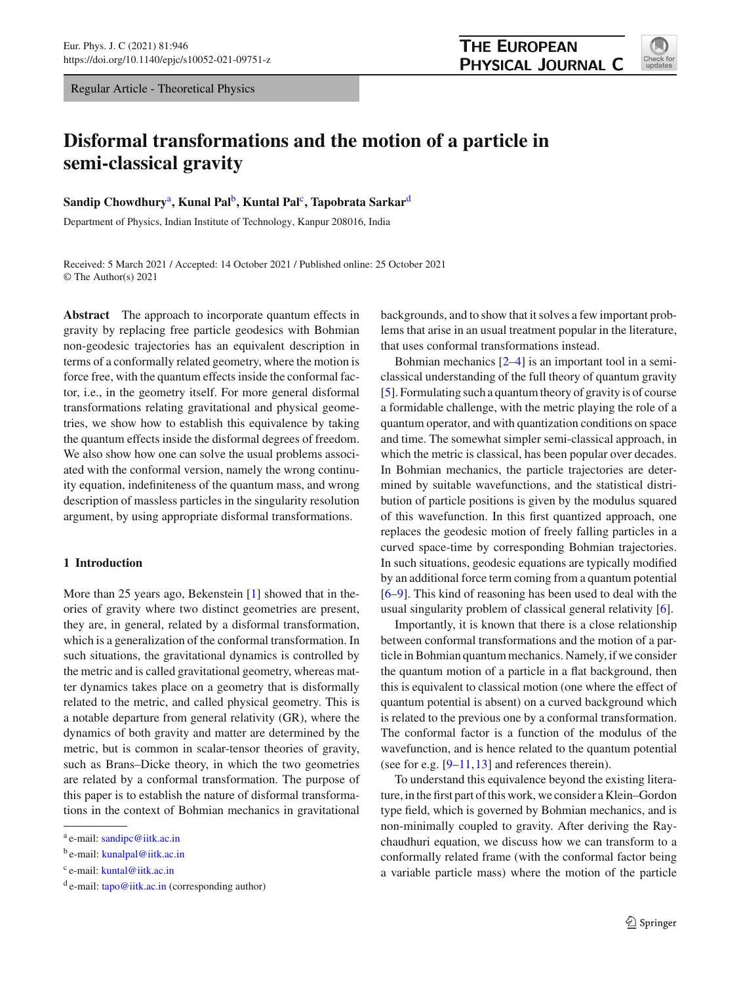Regular Article - Theoretical Physics

# **Disformal transformations and the motion of a particle in semi-classical gravity**

**Sandip Chowdhury**a**, Kunal Pal**b**, Kuntal Pal**c**, Tapobrata Sarkar**<sup>d</sup>

Department of Physics, Indian Institute of Technology, Kanpur 208016, India

Received: 5 March 2021 / Accepted: 14 October 2021 / Published online: 25 October 2021 © The Author(s) 2021

**Abstract** The approach to incorporate quantum effects in gravity by replacing free particle geodesics with Bohmian non-geodesic trajectories has an equivalent description in terms of a conformally related geometry, where the motion is force free, with the quantum effects inside the conformal factor, i.e., in the geometry itself. For more general disformal transformations relating gravitational and physical geometries, we show how to establish this equivalence by taking the quantum effects inside the disformal degrees of freedom. We also show how one can solve the usual problems associated with the conformal version, namely the wrong continuity equation, indefiniteness of the quantum mass, and wrong description of massless particles in the singularity resolution argument, by using appropriate disformal transformations.

# **1 Introduction**

More than 25 years ago, Bekenstein [\[1\]](#page-14-0) showed that in theories of gravity where two distinct geometries are present, they are, in general, related by a disformal transformation, which is a generalization of the conformal transformation. In such situations, the gravitational dynamics is controlled by the metric and is called gravitational geometry, whereas matter dynamics takes place on a geometry that is disformally related to the metric, and called physical geometry. This is a notable departure from general relativity (GR), where the dynamics of both gravity and matter are determined by the metric, but is common in scalar-tensor theories of gravity, such as Brans–Dicke theory, in which the two geometries are related by a conformal transformation. The purpose of this paper is to establish the nature of disformal transformations in the context of Bohmian mechanics in gravitational

backgrounds, and to show that it solves a few important problems that arise in an usual treatment popular in the literature, that uses conformal transformations instead.

Bohmian mechanics [\[2](#page-14-1)[–4](#page-14-2)] is an important tool in a semiclassical understanding of the full theory of quantum gravity [\[5](#page-14-3)]. Formulating such a quantum theory of gravity is of course a formidable challenge, with the metric playing the role of a quantum operator, and with quantization conditions on space and time. The somewhat simpler semi-classical approach, in which the metric is classical, has been popular over decades. In Bohmian mechanics, the particle trajectories are determined by suitable wavefunctions, and the statistical distribution of particle positions is given by the modulus squared of this wavefunction. In this first quantized approach, one replaces the geodesic motion of freely falling particles in a curved space-time by corresponding Bohmian trajectories. In such situations, geodesic equations are typically modified by an additional force term coming from a quantum potential [\[6](#page-14-4)[–9](#page-14-5)]. This kind of reasoning has been used to deal with the usual singularity problem of classical general relativity [\[6\]](#page-14-4).

Importantly, it is known that there is a close relationship between conformal transformations and the motion of a particle in Bohmian quantum mechanics. Namely, if we consider the quantum motion of a particle in a flat background, then this is equivalent to classical motion (one where the effect of quantum potential is absent) on a curved background which is related to the previous one by a conformal transformation. The conformal factor is a function of the modulus of the wavefunction, and is hence related to the quantum potential (see for e.g. [\[9](#page-14-5)[–11](#page-14-6)[,13](#page-14-7)] and references therein).

To understand this equivalence beyond the existing literature, in the first part of this work, we consider a Klein–Gordon type field, which is governed by Bohmian mechanics, and is non-minimally coupled to gravity. After deriving the Raychaudhuri equation, we discuss how we can transform to a conformally related frame (with the conformal factor being a variable particle mass) where the motion of the particle



<sup>a</sup> e-mail: [sandipc@iitk.ac.in](mailto:sandipc@iitk.ac.in)

<sup>b</sup> e-mail: [kunalpal@iitk.ac.in](mailto:kunalpal@iitk.ac.in)

<sup>c</sup> e-mail: [kuntal@iitk.ac.in](mailto:kuntal@iitk.ac.in)

 $d$  e-mail: [tapo@iitk.ac.in](mailto:tapo@iitk.ac.in) (corresponding author)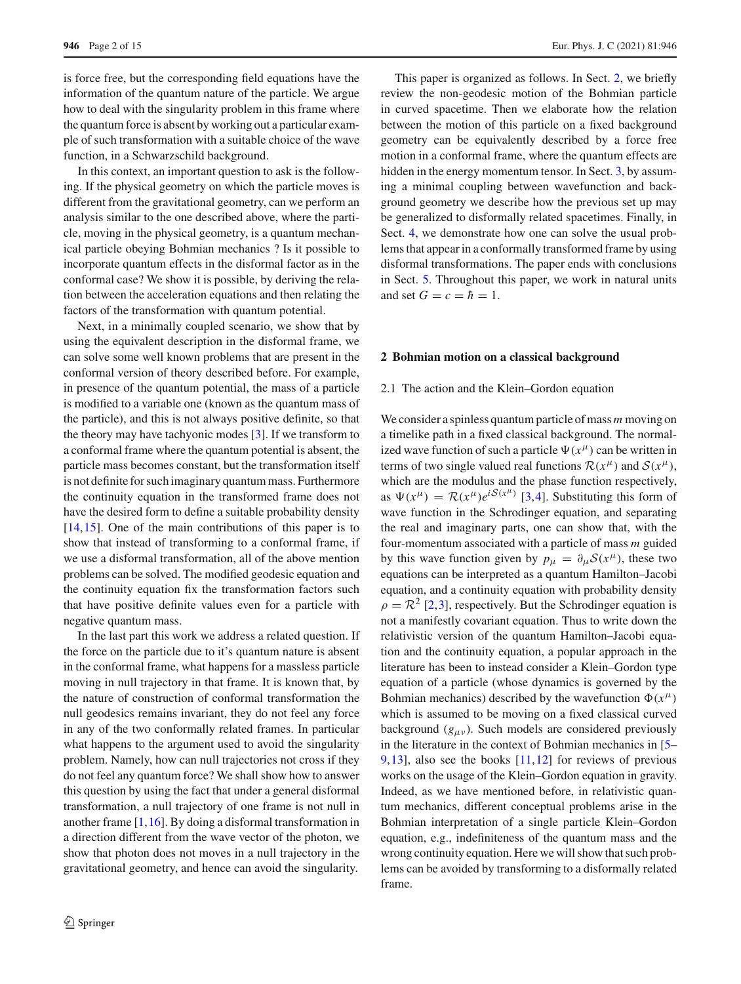is force free, but the corresponding field equations have the information of the quantum nature of the particle. We argue how to deal with the singularity problem in this frame where the quantum force is absent by working out a particular example of such transformation with a suitable choice of the wave function, in a Schwarzschild background.

In this context, an important question to ask is the following. If the physical geometry on which the particle moves is different from the gravitational geometry, can we perform an analysis similar to the one described above, where the particle, moving in the physical geometry, is a quantum mechanical particle obeying Bohmian mechanics ? Is it possible to incorporate quantum effects in the disformal factor as in the conformal case? We show it is possible, by deriving the relation between the acceleration equations and then relating the factors of the transformation with quantum potential.

Next, in a minimally coupled scenario, we show that by using the equivalent description in the disformal frame, we can solve some well known problems that are present in the conformal version of theory described before. For example, in presence of the quantum potential, the mass of a particle is modified to a variable one (known as the quantum mass of the particle), and this is not always positive definite, so that the theory may have tachyonic modes [\[3](#page-14-8)]. If we transform to a conformal frame where the quantum potential is absent, the particle mass becomes constant, but the transformation itself is not definite for such imaginary quantum mass. Furthermore the continuity equation in the transformed frame does not have the desired form to define a suitable probability density [\[14](#page-14-9),[15\]](#page-14-10). One of the main contributions of this paper is to show that instead of transforming to a conformal frame, if we use a disformal transformation, all of the above mention problems can be solved. The modified geodesic equation and the continuity equation fix the transformation factors such that have positive definite values even for a particle with negative quantum mass.

In the last part this work we address a related question. If the force on the particle due to it's quantum nature is absent in the conformal frame, what happens for a massless particle moving in null trajectory in that frame. It is known that, by the nature of construction of conformal transformation the null geodesics remains invariant, they do not feel any force in any of the two conformally related frames. In particular what happens to the argument used to avoid the singularity problem. Namely, how can null trajectories not cross if they do not feel any quantum force? We shall show how to answer this question by using the fact that under a general disformal transformation, a null trajectory of one frame is not null in another frame [\[1](#page-14-0)[,16](#page-14-11)]. By doing a disformal transformation in a direction different from the wave vector of the photon, we show that photon does not moves in a null trajectory in the gravitational geometry, and hence can avoid the singularity.

This paper is organized as follows. In Sect. [2,](#page-1-0) we briefly review the non-geodesic motion of the Bohmian particle in curved spacetime. Then we elaborate how the relation between the motion of this particle on a fixed background geometry can be equivalently described by a force free motion in a conformal frame, where the quantum effects are hidden in the energy momentum tensor. In Sect. [3,](#page-7-0) by assuming a minimal coupling between wavefunction and background geometry we describe how the previous set up may be generalized to disformally related spacetimes. Finally, in Sect. [4,](#page-9-0) we demonstrate how one can solve the usual problems that appear in a conformally transformed frame by using disformal transformations. The paper ends with conclusions in Sect. [5.](#page-13-0) Throughout this paper, we work in natural units and set  $G = c = \hbar = 1$ .

#### <span id="page-1-1"></span><span id="page-1-0"></span>**2 Bohmian motion on a classical background**

#### 2.1 The action and the Klein–Gordon equation

We consider a spinless quantum particle of mass*m* moving on a timelike path in a fixed classical background. The normalized wave function of such a particle  $\Psi(x^{\mu})$  can be written in terms of two single valued real functions  $\mathcal{R}(x^{\mu})$  and  $\mathcal{S}(x^{\mu})$ , which are the modulus and the phase function respectively, as  $\Psi(x^{\mu}) = \mathcal{R}(x^{\mu})e^{i\mathcal{S}(x^{\mu})}$  [\[3](#page-14-8)[,4](#page-14-2)]. Substituting this form of wave function in the Schrodinger equation, and separating the real and imaginary parts, one can show that, with the four-momentum associated with a particle of mass *m* guided by this wave function given by  $p_{\mu} = \partial_{\mu} S(x^{\mu})$ , these two equations can be interpreted as a quantum Hamilton–Jacobi equation, and a continuity equation with probability density  $\rho = \mathcal{R}^2$  [\[2](#page-14-1)[,3](#page-14-8)], respectively. But the Schrodinger equation is not a manifestly covariant equation. Thus to write down the relativistic version of the quantum Hamilton–Jacobi equation and the continuity equation, a popular approach in the literature has been to instead consider a Klein–Gordon type equation of a particle (whose dynamics is governed by the Bohmian mechanics) described by the wavefunction  $\Phi(x^{\mu})$ which is assumed to be moving on a fixed classical curved background  $(g_{\mu\nu})$ . Such models are considered previously in the literature in the context of Bohmian mechanics in [\[5](#page-14-3)– [9](#page-14-5)[,13](#page-14-7)], also see the books  $[11,12]$  $[11,12]$  for reviews of previous works on the usage of the Klein–Gordon equation in gravity. Indeed, as we have mentioned before, in relativistic quantum mechanics, different conceptual problems arise in the Bohmian interpretation of a single particle Klein–Gordon equation, e.g., indefiniteness of the quantum mass and the wrong continuity equation. Here we will show that such problems can be avoided by transforming to a disformally related frame.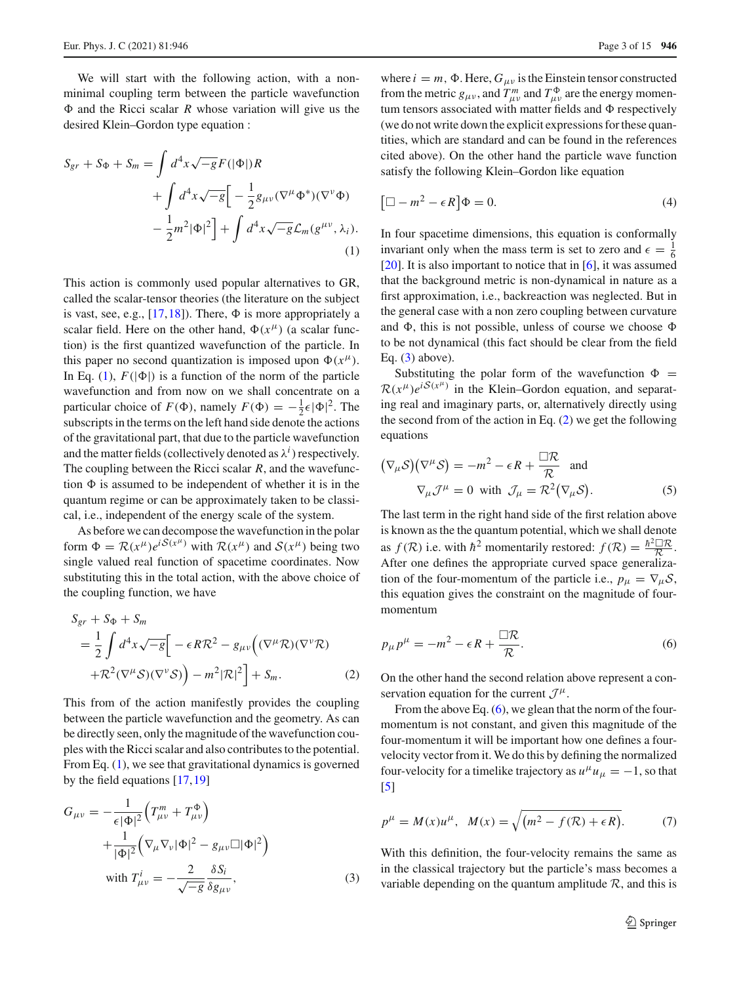We will start with the following action, with a nonminimal coupling term between the particle wavefunction  $\Phi$  and the Ricci scalar *R* whose variation will give us the desired Klein–Gordon type equation :

$$
S_{gr} + S_{\Phi} + S_m = \int d^4x \sqrt{-g} F(|\Phi|) R
$$
  
+ 
$$
\int d^4x \sqrt{-g} \Big[ -\frac{1}{2} g_{\mu\nu} (\nabla^{\mu} \Phi^*)(\nabla^{\nu} \Phi)
$$
  
- 
$$
\frac{1}{2} m^2 |\Phi|^2 \Big] + \int d^4x \sqrt{-g} \mathcal{L}_m(g^{\mu\nu}, \lambda_i).
$$
  
(1)

This action is commonly used popular alternatives to GR, called the scalar-tensor theories (the literature on the subject is vast, see, e.g.,  $[17, 18]$  $[17, 18]$ ). There,  $\Phi$  is more appropriately a scalar field. Here on the other hand,  $\Phi(x^{\mu})$  (a scalar function) is the first quantized wavefunction of the particle. In this paper no second quantization is imposed upon  $\Phi(x^{\mu})$ . In Eq. [\(1\)](#page-2-0),  $F(|\Phi|)$  is a function of the norm of the particle wavefunction and from now on we shall concentrate on a particular choice of  $F(\Phi)$ , namely  $F(\Phi) = -\frac{1}{2} \epsilon |\Phi|^2$ . The subscripts in the terms on the left hand side denote the actions of the gravitational part, that due to the particle wavefunction and the matter fields (collectively denoted as  $\lambda^i$ ) respectively. The coupling between the Ricci scalar *R*, and the wavefunction  $\Phi$  is assumed to be independent of whether it is in the quantum regime or can be approximately taken to be classical, i.e., independent of the energy scale of the system.

As before we can decompose the wavefunction in the polar form  $\Phi = \mathcal{R}(x^{\mu})e^{i\mathcal{S}(x^{\mu})}$  with  $\mathcal{R}(x^{\mu})$  and  $\mathcal{S}(x^{\mu})$  being two single valued real function of spacetime coordinates. Now substituting this in the total action, with the above choice of the coupling function, we have

<span id="page-2-2"></span>
$$
S_{gr} + S_{\Phi} + S_m
$$
  
=  $\frac{1}{2} \int d^4x \sqrt{-g} \Big[ -\epsilon R \mathcal{R}^2 - g_{\mu\nu} \Big( (\nabla^{\mu} \mathcal{R}) (\nabla^{\nu} \mathcal{R})$   
+  $\mathcal{R}^2 (\nabla^{\mu} \mathcal{S}) (\nabla^{\nu} \mathcal{S}) \Big) - m^2 |\mathcal{R}|^2 \Big] + S_m.$  (2)

This from of the action manifestly provides the coupling between the particle wavefunction and the geometry. As can be directly seen, only the magnitude of the wavefunction couples with the Ricci scalar and also contributes to the potential. From Eq. [\(1\)](#page-2-0), we see that gravitational dynamics is governed by the field equations [\[17](#page-14-13),[19\]](#page-14-15)

<span id="page-2-1"></span>
$$
G_{\mu\nu} = -\frac{1}{\epsilon |\Phi|^2} \left( T^m_{\mu\nu} + T^{\Phi}_{\mu\nu} \right)
$$
  
 
$$
+ \frac{1}{|\Phi|^2} \left( \nabla_{\mu} \nabla_{\nu} |\Phi|^2 - g_{\mu\nu} \Box |\Phi|^2 \right)
$$
  
with 
$$
T^i_{\mu\nu} = -\frac{2}{\sqrt{-g}} \frac{\delta S_i}{\delta g_{\mu\nu}},
$$
 (3)

where  $i = m$ ,  $\Phi$ . Here,  $G_{\mu\nu}$  is the Einstein tensor constructed from the metric  $g_{\mu\nu}$ , and  $T_{\mu\nu}^m$  and  $T_{\mu\nu}^{\Phi}$  are the energy momentum tensors associated with matter fields and  $\Phi$  respectively (we do not write down the explicit expressions for these quantities, which are standard and can be found in the references cited above). On the other hand the particle wave function satisfy the following Klein–Gordon like equation

$$
\left[\Box - m^2 - \epsilon R\right]\Phi = 0.\tag{4}
$$

<span id="page-2-0"></span>In four spacetime dimensions, this equation is conformally invariant only when the mass term is set to zero and  $\epsilon = \frac{1}{6}$ [\[20](#page-14-16)]. It is also important to notice that in [\[6](#page-14-4)], it was assumed that the background metric is non-dynamical in nature as a first approximation, i.e., backreaction was neglected. But in the general case with a non zero coupling between curvature and  $\Phi$ , this is not possible, unless of course we choose  $\Phi$ to be not dynamical (this fact should be clear from the field Eq.  $(3)$  above).

Substituting the polar form of the wavefunction  $\Phi =$  $\mathcal{R}(x^{\mu})e^{i\mathcal{S}(x^{\mu})}$  in the Klein–Gordon equation, and separating real and imaginary parts, or, alternatively directly using the second from of the action in Eq.  $(2)$  we get the following equations

<span id="page-2-4"></span>
$$
(\nabla_{\mu} S)(\nabla^{\mu} S) = -m^2 - \epsilon R + \frac{\Box \mathcal{R}}{\mathcal{R}} \text{ and}
$$

$$
\nabla_{\mu} \mathcal{J}^{\mu} = 0 \text{ with } \mathcal{J}_{\mu} = \mathcal{R}^2(\nabla_{\mu} S). \tag{5}
$$

The last term in the right hand side of the first relation above is known as the the quantum potential, which we shall denote as  $f(\mathcal{R})$  i.e. with  $\hbar^2$  momentarily restored:  $f(\mathcal{R}) = \frac{\hbar^2 \Box \mathcal{R}}{\mathcal{R}}$ . After one defines the appropriate curved space generalization of the four-momentum of the particle i.e.,  $p_{\mu} = \nabla_{\mu} S$ , this equation gives the constraint on the magnitude of fourmomentum

<span id="page-2-3"></span>
$$
p_{\mu}p^{\mu} = -m^2 - \epsilon R + \frac{\Box \mathcal{R}}{\mathcal{R}}.
$$
 (6)

On the other hand the second relation above represent a conservation equation for the current  $\mathcal{J}^{\mu}$ .

From the above Eq.  $(6)$ , we glean that the norm of the fourmomentum is not constant, and given this magnitude of the four-momentum it will be important how one defines a fourvelocity vector from it. We do this by defining the normalized four-velocity for a timelike trajectory as  $u^{\mu}u_{\mu} = -1$ , so that [\[5](#page-14-3)]

<span id="page-2-5"></span>
$$
p^{\mu} = M(x)u^{\mu}, \quad M(x) = \sqrt{(m^2 - f(R) + \epsilon R)}.
$$
 (7)

With this definition, the four-velocity remains the same as in the classical trajectory but the particle's mass becomes a variable depending on the quantum amplitude  $R$ , and this is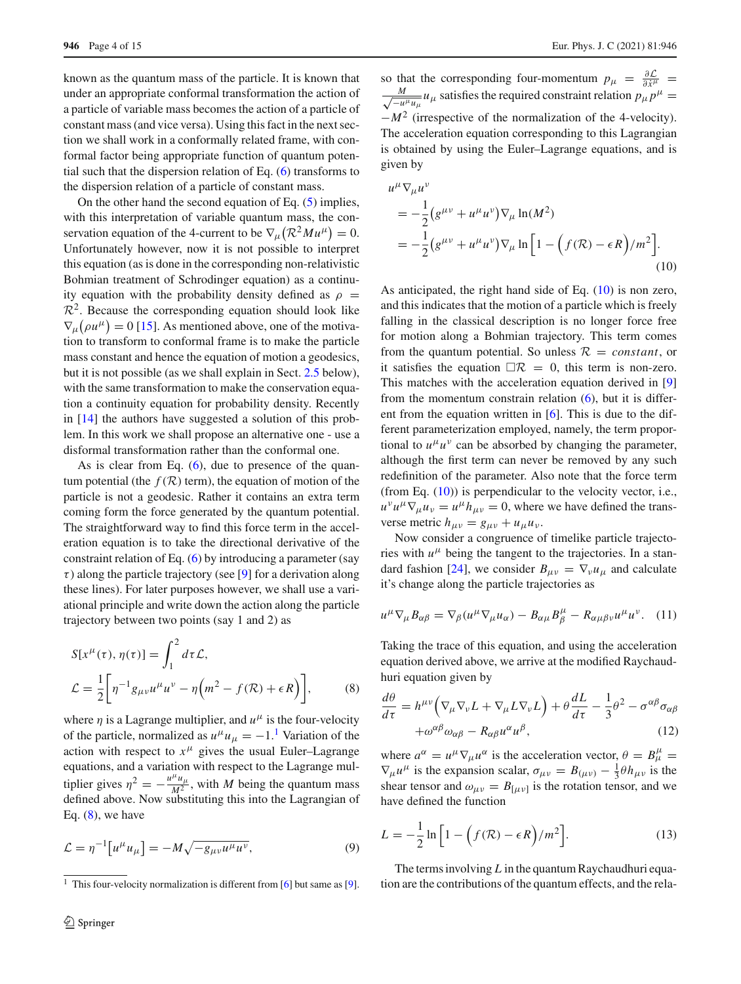known as the quantum mass of the particle. It is known that under an appropriate conformal transformation the action of a particle of variable mass becomes the action of a particle of constant mass (and vice versa). Using this fact in the next section we shall work in a conformally related frame, with conformal factor being appropriate function of quantum potential such that the dispersion relation of Eq. [\(6\)](#page-2-3) transforms to the dispersion relation of a particle of constant mass.

On the other hand the second equation of Eq.  $(5)$  implies, with this interpretation of variable quantum mass, the conservation equation of the 4-current to be  $\nabla_{\mu}(\mathcal{R}^2 M u^{\mu}) = 0$ . Unfortunately however, now it is not possible to interpret this equation (as is done in the corresponding non-relativistic Bohmian treatment of Schrodinger equation) as a continuity equation with the probability density defined as  $\rho =$  $\mathcal{R}^2$ . Because the corresponding equation should look like  $\nabla_{\mu}(\rho u^{\mu}) = 0$  [\[15\]](#page-14-10). As mentioned above, one of the motivation to transform to conformal frame is to make the particle mass constant and hence the equation of motion a geodesics, but it is not possible (as we shall explain in Sect. [2.5](#page-6-0) below), with the same transformation to make the conservation equation a continuity equation for probability density. Recently in [\[14](#page-14-9)] the authors have suggested a solution of this problem. In this work we shall propose an alternative one - use a disformal transformation rather than the conformal one.

As is clear from Eq. [\(6\)](#page-2-3), due to presence of the quantum potential (the  $f(\mathcal{R})$  term), the equation of motion of the particle is not a geodesic. Rather it contains an extra term coming form the force generated by the quantum potential. The straightforward way to find this force term in the acceleration equation is to take the directional derivative of the constraint relation of Eq.  $(6)$  by introducing a parameter (say  $\tau$ ) along the particle trajectory (see [\[9](#page-14-5)] for a derivation along these lines). For later purposes however, we shall use a variational principle and write down the action along the particle trajectory between two points (say 1 and 2) as

<span id="page-3-1"></span>
$$
S[x^{\mu}(\tau), \eta(\tau)] = \int_{1}^{2} d\tau \mathcal{L},
$$
  

$$
\mathcal{L} = \frac{1}{2} \bigg[ \eta^{-1} g_{\mu\nu} u^{\mu} u^{\nu} - \eta \big( m^{2} - f(\mathcal{R}) + \epsilon R \big) \bigg],
$$
 (8)

where  $\eta$  is a Lagrange multiplier, and  $u^{\mu}$  is the four-velocity of the particle, normalized as  $u^{\mu}u_{\mu} = -1$  $u^{\mu}u_{\mu} = -1$ .<sup>1</sup> Variation of the action with respect to  $x^{\mu}$  gives the usual Euler–Lagrange equations, and a variation with respect to the Lagrange multiplier gives  $\eta^2 = -\frac{u^{\mu}u_{\mu}}{M^2}$ , with *M* being the quantum mass defined above. Now substituting this into the Lagrangian of Eq.  $(8)$ , we have

<span id="page-3-3"></span>
$$
\mathcal{L} = \eta^{-1} \left[ u^{\mu} u_{\mu} \right] = -M \sqrt{-g_{\mu\nu} u^{\mu} u^{\nu}},\tag{9}
$$

so that the corresponding four-momentum  $p_{\mu} = \frac{\partial \mathcal{L}}{\partial \dot{x}^{\mu}}$  $rac{\partial \widetilde{\mathbf{v}}}{\partial \dot{x}^{\mu}}$  = √ *M*  $\frac{M}{-u^{\mu}u_{\mu}}u_{\mu}$  satisfies the required constraint relation  $p_{\mu}p^{\mu} =$ <sup>−</sup>*M*<sup>2</sup> (irrespective of the normalization of the 4-velocity). The acceleration equation corresponding to this Lagrangian is obtained by using the Euler–Lagrange equations, and is given by

<span id="page-3-2"></span>
$$
u^{\mu} \nabla_{\mu} u^{\nu}
$$
  
=  $-\frac{1}{2} (g^{\mu \nu} + u^{\mu} u^{\nu}) \nabla_{\mu} \ln(M^2)$   
=  $-\frac{1}{2} (g^{\mu \nu} + u^{\mu} u^{\nu}) \nabla_{\mu} \ln \left[ 1 - (f(\mathcal{R}) - \epsilon R) / m^2 \right].$  (10)

As anticipated, the right hand side of Eq. [\(10\)](#page-3-2) is non zero, and this indicates that the motion of a particle which is freely falling in the classical description is no longer force free for motion along a Bohmian trajectory. This term comes from the quantum potential. So unless  $\mathcal{R} = constant$ , or it satisfies the equation  $\Box \mathcal{R} = 0$ , this term is non-zero. This matches with the acceleration equation derived in [\[9\]](#page-14-5) from the momentum constrain relation  $(6)$ , but it is different from the equation written in  $[6]$ . This is due to the different parameterization employed, namely, the term proportional to  $u^{\mu}u^{\nu}$  can be absorbed by changing the parameter, although the first term can never be removed by any such redefinition of the parameter. Also note that the force term (from Eq.  $(10)$ ) is perpendicular to the velocity vector, i.e.,  $u^{\nu}u^{\mu}\nabla_{\mu}u_{\nu} = u^{\mu}h_{\mu\nu} = 0$ , where we have defined the transverse metric  $h_{\mu\nu} = g_{\mu\nu} + u_{\mu}u_{\nu}$ .

Now consider a congruence of timelike particle trajectories with  $u^{\mu}$  being the tangent to the trajectories. In a stan-dard fashion [\[24\]](#page-14-17), we consider  $B_{\mu\nu} = \nabla_{\nu} u_{\mu}$  and calculate it's change along the particle trajectories as

$$
u^{\mu}\nabla_{\mu}B_{\alpha\beta} = \nabla_{\beta}(u^{\mu}\nabla_{\mu}u_{\alpha}) - B_{\alpha\mu}B^{\mu}_{\beta} - R_{\alpha\mu\beta\nu}u^{\mu}u^{\nu}.
$$
 (11)

Taking the trace of this equation, and using the acceleration equation derived above, we arrive at the modified Raychaudhuri equation given by

<span id="page-3-4"></span>
$$
\frac{d\theta}{d\tau} = h^{\mu\nu} \Big( \nabla_{\mu} \nabla_{\nu} L + \nabla_{\mu} L \nabla_{\nu} L \Big) + \theta \frac{dL}{d\tau} - \frac{1}{3} \theta^2 - \sigma^{\alpha\beta} \sigma_{\alpha\beta} + \omega^{\alpha\beta} \omega_{\alpha\beta} - R_{\alpha\beta} u^{\alpha} u^{\beta},
$$
\n(12)

where  $a^{\alpha} = u^{\mu} \nabla_{\mu} u^{\alpha}$  is the acceleration vector,  $\theta = B^{\mu}_{\mu}$  $\nabla_{\mu} u^{\mu}$  is the expansion scalar,  $\sigma_{\mu\nu} = B_{(\mu\nu)} - \frac{1}{3} \theta h_{\mu\nu}$  is the shear tensor and  $\omega_{\mu\nu} = B_{[\mu\nu]}$  is the rotation tensor, and we have defined the function

$$
L = -\frac{1}{2}\ln\left[1 - \left(f(\mathcal{R}) - \epsilon R\right)/m^2\right].\tag{13}
$$

The terms involving *L* in the quantum Raychaudhuri equation are the contributions of the quantum effects, and the rela-

<span id="page-3-0"></span><sup>&</sup>lt;sup>1</sup> This four-velocity normalization is different from [\[6](#page-14-4)] but same as [\[9](#page-14-5)].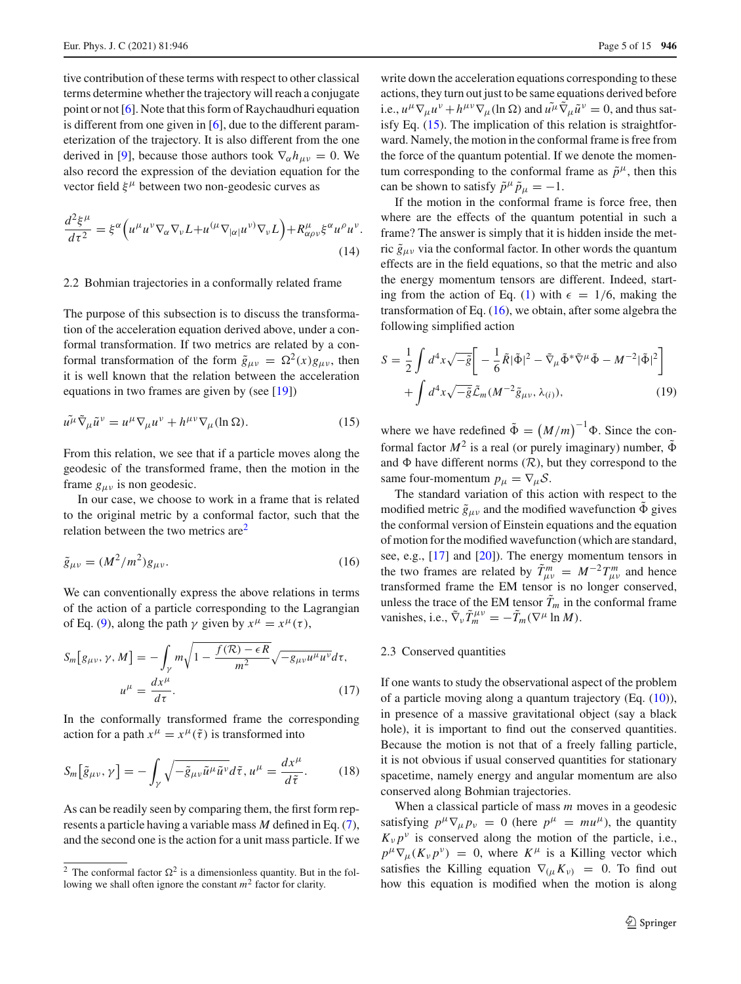tive contribution of these terms with respect to other classical terms determine whether the trajectory will reach a conjugate point or not [\[6\]](#page-14-4). Note that this form of Raychaudhuri equation is different from one given in  $[6]$  $[6]$ , due to the different parameterization of the trajectory. It is also different from the one derived in [\[9\]](#page-14-5), because those authors took  $\nabla_{\alpha} h_{\mu\nu} = 0$ . We also record the expression of the deviation equation for the vector field  $\xi^{\mu}$  between two non-geodesic curves as

$$
\frac{d^2\xi^{\mu}}{d\tau^2} = \xi^{\alpha} \Big( u^{\mu} u^{\nu} \nabla_{\alpha} \nabla_{\nu} L + u^{(\mu} \nabla_{|\alpha|} u^{\nu)} \nabla_{\nu} L \Big) + R^{\mu}_{\alpha\rho\nu} \xi^{\alpha} u^{\rho} u^{\nu}.
$$
\n(14)

#### 2.2 Bohmian trajectories in a conformally related frame

The purpose of this subsection is to discuss the transformation of the acceleration equation derived above, under a conformal transformation. If two metrics are related by a conformal transformation of the form  $\tilde{g}_{\mu\nu} = \Omega^2(x)g_{\mu\nu}$ , then it is well known that the relation between the acceleration equations in two frames are given by (see [\[19](#page-14-15)])

$$
\tilde{u^{\mu}}\tilde{\nabla}_{\mu}\tilde{u}^{\nu} = u^{\mu}\nabla_{\mu}u^{\nu} + h^{\mu\nu}\nabla_{\mu}(\ln \Omega). \tag{15}
$$

From this relation, we see that if a particle moves along the geodesic of the transformed frame, then the motion in the frame  $g_{\mu\nu}$  is non geodesic.

In our case, we choose to work in a frame that is related to the original metric by a conformal factor, such that the relation between the two metrics are<sup>2</sup>

$$
\tilde{g}_{\mu\nu} = (M^2/m^2)g_{\mu\nu}.\tag{16}
$$

We can conventionally express the above relations in terms of the action of a particle corresponding to the Lagrangian of Eq. [\(9\)](#page-3-3), along the path  $\gamma$  given by  $x^{\mu} = x^{\mu}(\tau)$ ,

<span id="page-4-4"></span>
$$
S_m[g_{\mu\nu}, \gamma, M] = -\int_{\gamma} m \sqrt{1 - \frac{f(\mathcal{R}) - \epsilon R}{m^2}} \sqrt{-g_{\mu\nu} u^{\mu} u^{\nu}} d\tau,
$$

$$
u^{\mu} = \frac{dx^{\mu}}{d\tau}.
$$
 (17)

In the conformally transformed frame the corresponding action for a path  $x^{\mu} = x^{\mu}(\tilde{\tau})$  is transformed into

$$
S_m\big[\tilde{g}_{\mu\nu},\gamma\big] = -\int_{\gamma} \sqrt{-\tilde{g}_{\mu\nu}\tilde{u}^{\mu}\tilde{u}^{\nu}} d\tilde{\tau}, u^{\mu} = \frac{dx^{\mu}}{d\tilde{\tau}}.
$$
 (18)

As can be readily seen by comparing them, the first form represents a particle having a variable mass *M* defined in Eq. [\(7\)](#page-2-5), and the second one is the action for a unit mass particle. If we

write down the acceleration equations corresponding to these actions, they turn out just to be same equations derived before i.e.,  $u^{\mu} \nabla_{\mu} u^{\nu} + h^{\mu \nu} \nabla_{\mu} (\ln \Omega)$  and  $\tilde{u^{\mu}} \tilde{\nabla}_{\mu} \tilde{u}^{\nu} = 0$ , and thus satisfy Eq. [\(15\)](#page-4-1). The implication of this relation is straightforward. Namely, the motion in the conformal frame is free from the force of the quantum potential. If we denote the momentum corresponding to the conformal frame as  $\tilde{p}^{\mu}$ , then this can be shown to satisfy  $\tilde{p}^{\mu} \tilde{p}_{\mu} = -1$ .

<span id="page-4-5"></span>If the motion in the conformal frame is force free, then where are the effects of the quantum potential in such a frame? The answer is simply that it is hidden inside the metric  $\tilde{g}_{\mu\nu}$  via the conformal factor. In other words the quantum effects are in the field equations, so that the metric and also the energy momentum tensors are different. Indeed, start-ing from the action of Eq. [\(1\)](#page-2-0) with  $\epsilon = 1/6$ , making the transformation of Eq. [\(16\)](#page-4-2), we obtain, after some algebra the following simplified action

<span id="page-4-3"></span><span id="page-4-1"></span>
$$
S = \frac{1}{2} \int d^4x \sqrt{-\tilde{g}} \left[ -\frac{1}{6} \tilde{R} |\tilde{\Phi}|^2 - \tilde{\nabla}_{\mu} \tilde{\Phi}^* \tilde{\nabla}^{\mu} \tilde{\Phi} - M^{-2} |\tilde{\Phi}|^2 \right] + \int d^4x \sqrt{-\tilde{g}} \tilde{\mathcal{L}}_m (M^{-2} \tilde{g}_{\mu\nu}, \lambda_{(i)}), \qquad (19)
$$

where we have redefined  $\tilde{\Phi} = (M/m)^{-1} \Phi$ . Since the conformal factor  $M^2$  is a real (or purely imaginary) number,  $\tilde{\Phi}$ and  $\Phi$  have different norms  $(\mathcal{R})$ , but they correspond to the same four-momentum  $p_{\mu} = \nabla_{\mu} S$ .

<span id="page-4-2"></span>The standard variation of this action with respect to the modified metric  $\tilde{g}_{\mu\nu}$  and the modified wavefunction  $\tilde{\Phi}$  gives the conformal version of Einstein equations and the equation of motion for the modified wavefunction (which are standard, see, e.g., [\[17\]](#page-14-13) and [\[20](#page-14-16)]). The energy momentum tensors in the two frames are related by  $\tilde{T}^m_{\mu\nu} = M^{-2}T^m_{\mu\nu}$  and hence transformed frame the EM tensor is no longer conserved, unless the trace of the EM tensor  $T_m$  in the conformal frame vanishes, i.e.,  $\tilde{\nabla}_{\nu} \tilde{T}_{m}^{\mu \nu} = -\tilde{T}_{m} (\nabla^{\mu} \ln M)$ .

# <span id="page-4-6"></span>2.3 Conserved quantities

If one wants to study the observational aspect of the problem of a particle moving along a quantum trajectory (Eq. [\(10\)](#page-3-2)), in presence of a massive gravitational object (say a black hole), it is important to find out the conserved quantities. Because the motion is not that of a freely falling particle, it is not obvious if usual conserved quantities for stationary spacetime, namely energy and angular momentum are also conserved along Bohmian trajectories.

When a classical particle of mass *m* moves in a geodesic satisfying  $p^{\mu} \nabla_{\mu} p_{\nu} = 0$  (here  $p^{\mu} = m u^{\mu}$ ), the quantity  $K_{\nu} p^{\nu}$  is conserved along the motion of the particle, i.e.,  $p^{\mu} \nabla_{\mu} (K_{\nu} p^{\nu}) = 0$ , where  $K^{\mu}$  is a Killing vector which satisfies the Killing equation  $\nabla_{(\mu} K_{\nu)} = 0$ . To find out how this equation is modified when the motion is along

<span id="page-4-0"></span><sup>&</sup>lt;sup>2</sup> The conformal factor  $\Omega^2$  is a dimensionless quantity. But in the following we shall often ignore the constant  $m^2$  factor for clarity.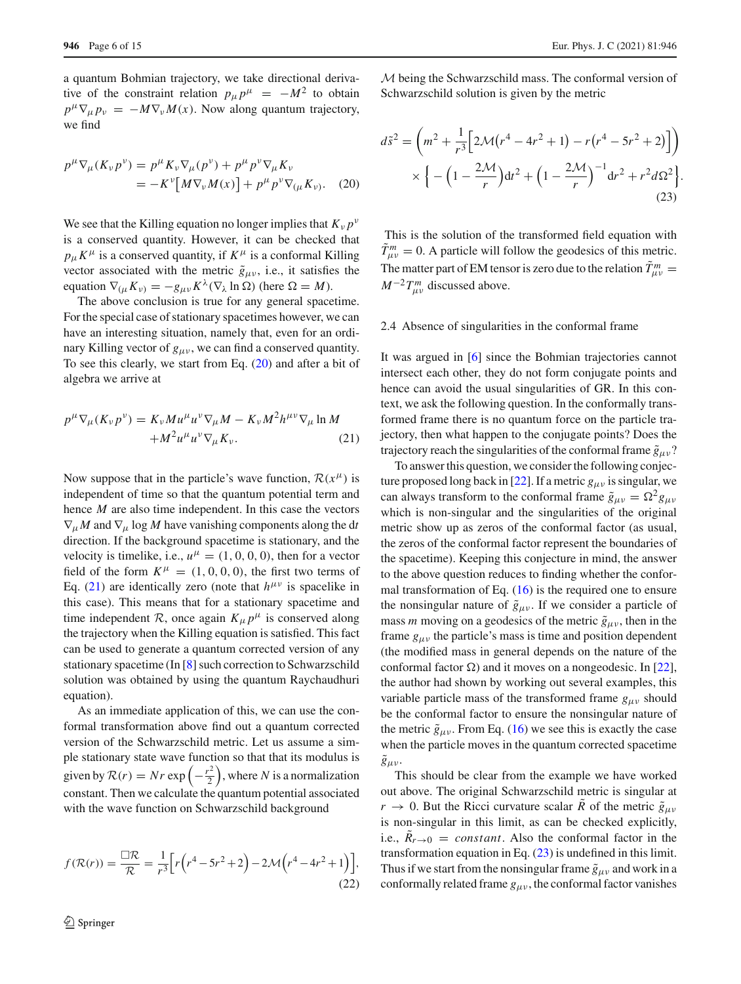a quantum Bohmian trajectory, we take directional derivative of the constraint relation  $p_{\mu} p^{\mu} = -M^2$  to obtain  $p^{\mu} \nabla_{\mu} p_{\nu} = -M \nabla_{\nu} M(x)$ . Now along quantum trajectory, we find

<span id="page-5-0"></span>
$$
p^{\mu} \nabla_{\mu} (K_{\nu} p^{\nu}) = p^{\mu} K_{\nu} \nabla_{\mu} (p^{\nu}) + p^{\mu} p^{\nu} \nabla_{\mu} K_{\nu}
$$
  
= 
$$
-K^{\nu} [M \nabla_{\nu} M(x)] + p^{\mu} p^{\nu} \nabla_{(\mu} K_{\nu)}.
$$
 (20)

We see that the Killing equation no longer implies that  $K_{\nu} p^{\nu}$ is a conserved quantity. However, it can be checked that  $p_{\mu}K^{\mu}$  is a conserved quantity, if  $K^{\mu}$  is a conformal Killing vector associated with the metric  $\tilde{g}_{\mu\nu}$ , i.e., it satisfies the equation  $\nabla_{(\mu} K_{\nu)} = -g_{\mu\nu} K^{\lambda} (\nabla_{\lambda} \ln \Omega)$  (here  $\Omega = M$ ).

The above conclusion is true for any general spacetime. For the special case of stationary spacetimes however, we can have an interesting situation, namely that, even for an ordinary Killing vector of  $g_{\mu\nu}$ , we can find a conserved quantity. To see this clearly, we start from Eq. [\(20\)](#page-5-0) and after a bit of algebra we arrive at

<span id="page-5-1"></span>
$$
p^{\mu} \nabla_{\mu} (K_{\nu} p^{\nu}) = K_{\nu} M u^{\mu} u^{\nu} \nabla_{\mu} M - K_{\nu} M^2 h^{\mu \nu} \nabla_{\mu} \ln M + M^2 u^{\mu} u^{\nu} \nabla_{\mu} K_{\nu}.
$$
 (21)

Now suppose that in the particle's wave function,  $\mathcal{R}(x^{\mu})$  is independent of time so that the quantum potential term and hence *M* are also time independent. In this case the vectors  $\nabla_{\mu} M$  and  $\nabla_{\mu} \log M$  have vanishing components along the dt direction. If the background spacetime is stationary, and the velocity is timelike, i.e.,  $u^{\mu} = (1, 0, 0, 0)$ , then for a vector field of the form  $K^{\mu} = (1, 0, 0, 0)$ , the first two terms of Eq. [\(21\)](#page-5-1) are identically zero (note that  $h^{\mu\nu}$  is spacelike in this case). This means that for a stationary spacetime and time independent  $\mathcal{R}$ , once again  $K_{\mu} p^{\mu}$  is conserved along the trajectory when the Killing equation is satisfied. This fact can be used to generate a quantum corrected version of any stationary spacetime (In [\[8\]](#page-14-18) such correction to Schwarzschild solution was obtained by using the quantum Raychaudhuri equation).

As an immediate application of this, we can use the conformal transformation above find out a quantum corrected version of the Schwarzschild metric. Let us assume a simple stationary state wave function so that that its modulus is given by  $\mathcal{R}(r) = Nr \exp\left(-\frac{r^2}{2}\right)$ , where *N* is a normalization constant. Then we calculate the quantum potential associated with the wave function on Schwarzschild background

$$
f(\mathcal{R}(r)) = \frac{\Box \mathcal{R}}{\mathcal{R}} = \frac{1}{r^3} \Big[ r \Big( r^4 - 5r^2 + 2 \Big) - 2\mathcal{M} \Big( r^4 - 4r^2 + 1 \Big) \Big],\tag{22}
$$

*M* being the Schwarzschild mass. The conformal version of Schwarzschild solution is given by the metric

<span id="page-5-2"></span>
$$
d\tilde{s}^{2} = \left(m^{2} + \frac{1}{r^{3}} \left[2\mathcal{M}(r^{4} - 4r^{2} + 1) - r(r^{4} - 5r^{2} + 2)\right]\right)
$$

$$
\times \left\{-\left(1 - \frac{2\mathcal{M}}{r}\right)dt^{2} + \left(1 - \frac{2\mathcal{M}}{r}\right)^{-1}dr^{2} + r^{2}d\Omega^{2}\right\}.
$$
(23)

This is the solution of the transformed field equation with  $\tilde{T}_{\mu\nu}^m = 0$ . A particle will follow the geodesics of this metric. The matter part of EM tensor is zero due to the relation  $\tilde{T}^m_{\mu\nu} =$  $M^{-2}T_{\mu\nu}^{m}$  discussed above.

# 2.4 Absence of singularities in the conformal frame

It was argued in [\[6](#page-14-4)] since the Bohmian trajectories cannot intersect each other, they do not form conjugate points and hence can avoid the usual singularities of GR. In this context, we ask the following question. In the conformally transformed frame there is no quantum force on the particle trajectory, then what happen to the conjugate points? Does the trajectory reach the singularities of the conformal frame  $\tilde{g}_{\mu\nu}$ ?

To answer this question, we consider the following conjec-ture proposed long back in [\[22\]](#page-14-19). If a metric  $g_{\mu\nu}$  is singular, we can always transform to the conformal frame  $\tilde{g}_{\mu\nu} = \Omega^2 g_{\mu\nu}$ which is non-singular and the singularities of the original metric show up as zeros of the conformal factor (as usual, the zeros of the conformal factor represent the boundaries of the spacetime). Keeping this conjecture in mind, the answer to the above question reduces to finding whether the conformal transformation of Eq.  $(16)$  is the required one to ensure the nonsingular nature of  $\tilde{g}_{\mu\nu}$ . If we consider a particle of mass *m* moving on a geodesics of the metric  $\tilde{g}_{\mu\nu}$ , then in the frame  $g_{\mu\nu}$  the particle's mass is time and position dependent (the modified mass in general depends on the nature of the conformal factor  $\Omega$ ) and it moves on a nongeodesic. In [\[22](#page-14-19)], the author had shown by working out several examples, this variable particle mass of the transformed frame  $g_{\mu\nu}$  should be the conformal factor to ensure the nonsingular nature of the metric  $\tilde{g}_{\mu\nu}$ . From Eq. [\(16\)](#page-4-2) we see this is exactly the case when the particle moves in the quantum corrected spacetime  $\tilde{g}_{\mu\nu}$ .

This should be clear from the example we have worked out above. The original Schwarzschild metric is singular at  $r \rightarrow 0$ . But the Ricci curvature scalar  $\tilde{R}$  of the metric  $\tilde{g}_{\mu\nu}$ is non-singular in this limit, as can be checked explicitly, i.e.,  $R_{r\to 0} = constant$ . Also the conformal factor in the transformation equation in Eq. [\(23\)](#page-5-2) is undefined in this limit. Thus if we start from the nonsingular frame  $\tilde{g}_{\mu\nu}$  and work in a conformally related frame  $g_{\mu\nu}$ , the conformal factor vanishes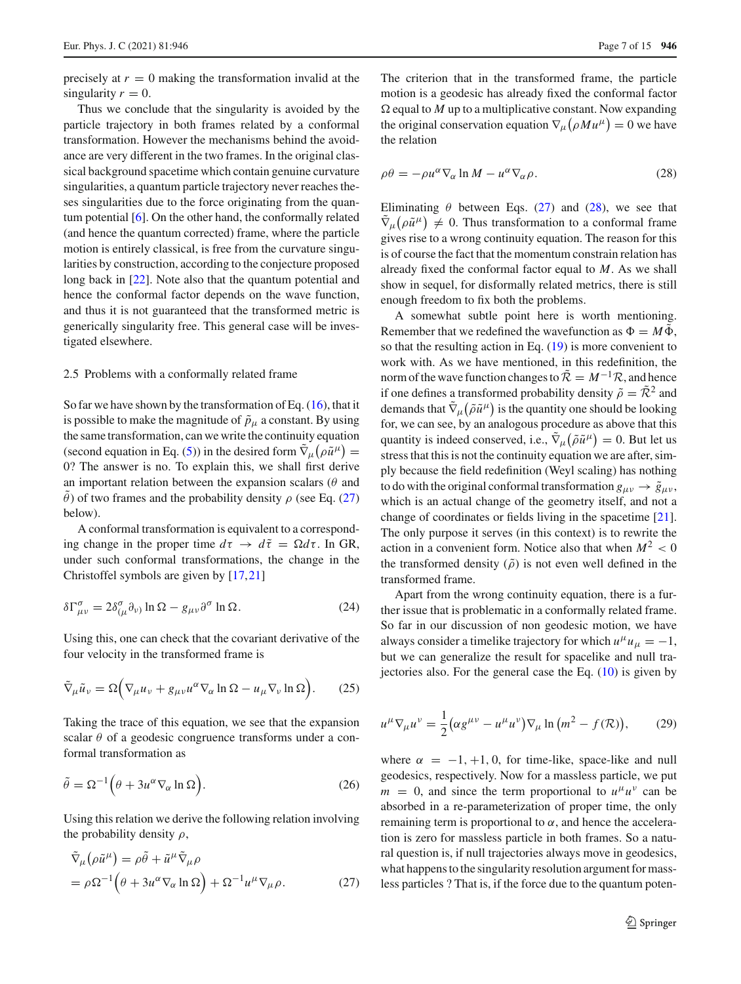precisely at  $r = 0$  making the transformation invalid at the singularity  $r = 0$ .

Thus we conclude that the singularity is avoided by the particle trajectory in both frames related by a conformal transformation. However the mechanisms behind the avoidance are very different in the two frames. In the original classical background spacetime which contain genuine curvature singularities, a quantum particle trajectory never reaches theses singularities due to the force originating from the quantum potential [\[6\]](#page-14-4). On the other hand, the conformally related (and hence the quantum corrected) frame, where the particle motion is entirely classical, is free from the curvature singularities by construction, according to the conjecture proposed long back in [\[22](#page-14-19)]. Note also that the quantum potential and hence the conformal factor depends on the wave function, and thus it is not guaranteed that the transformed metric is generically singularity free. This general case will be investigated elsewhere.

## <span id="page-6-0"></span>2.5 Problems with a conformally related frame

So far we have shown by the transformation of Eq.  $(16)$ , that it is possible to make the magnitude of  $\tilde{p}_{\mu}$  a constant. By using the same transformation, can we write the continuity equation (second equation in Eq. [\(5\)](#page-2-4)) in the desired form  $\tilde{\nabla}_{\mu}(\rho \tilde{u}^{\mu}) =$ 0? The answer is no. To explain this, we shall first derive an important relation between the expansion scalars ( $\theta$  and θ) of two frames and the probability density  $ρ$  (see Eq. [\(27\)](#page-6-1) below).

A conformal transformation is equivalent to a corresponding change in the proper time  $d\tau \to d\tilde{\tau} = \Omega d\tau$ . In GR, under such conformal transformations, the change in the Christoffel symbols are given by [\[17](#page-14-13)[,21](#page-14-20)]

$$
\delta \Gamma^{\sigma}_{\mu\nu} = 2\delta^{\sigma}_{(\mu}\partial_{\nu)}\ln\Omega - g_{\mu\nu}\partial^{\sigma}\ln\Omega.
$$
 (24)

Using this, one can check that the covariant derivative of the four velocity in the transformed frame is

$$
\tilde{\nabla}_{\mu}\tilde{u}_{\nu} = \Omega \Big( \nabla_{\mu} u_{\nu} + g_{\mu\nu} u^{\alpha} \nabla_{\alpha} \ln \Omega - u_{\mu} \nabla_{\nu} \ln \Omega \Big). \tag{25}
$$

<span id="page-6-3"></span>Taking the trace of this equation, we see that the expansion scalar  $\theta$  of a geodesic congruence transforms under a conformal transformation as

$$
\tilde{\theta} = \Omega^{-1} \Big( \theta + 3u^{\alpha} \nabla_{\alpha} \ln \Omega \Big). \tag{26}
$$

Using this relation we derive the following relation involving the probability density  $\rho$ ,

<span id="page-6-1"></span>
$$
\tilde{\nabla}_{\mu} \left( \rho \tilde{u}^{\mu} \right) = \rho \tilde{\theta} + \tilde{u}^{\mu} \tilde{\nabla}_{\mu} \rho
$$
\n
$$
= \rho \Omega^{-1} \left( \theta + 3u^{\alpha} \nabla_{\alpha} \ln \Omega \right) + \Omega^{-1} u^{\mu} \nabla_{\mu} \rho. \tag{27}
$$

<span id="page-6-2"></span>The criterion that in the transformed frame, the particle motion is a geodesic has already fixed the conformal factor  $\Omega$  equal to *M* up to a multiplicative constant. Now expanding the original conservation equation  $\nabla_{\mu} (\rho M u^{\mu}) = 0$  we have the relation

$$
\rho \theta = -\rho u^{\alpha} \nabla_{\alpha} \ln M - u^{\alpha} \nabla_{\alpha} \rho. \tag{28}
$$

Eliminating  $\theta$  between Eqs. [\(27\)](#page-6-1) and [\(28\)](#page-6-2), we see that  $\tilde{\nabla}_{\mu}(\rho \tilde{u}^{\mu}) \neq 0$ . Thus transformation to a conformal frame gives rise to a wrong continuity equation. The reason for this is of course the fact that the momentum constrain relation has already fixed the conformal factor equal to *M*. As we shall show in sequel, for disformally related metrics, there is still enough freedom to fix both the problems.

A somewhat subtle point here is worth mentioning. Remember that we redefined the wavefunction as  $\Phi = M\tilde{\Phi}$ , so that the resulting action in Eq. [\(19\)](#page-4-3) is more convenient to work with. As we have mentioned, in this redefinition, the norm of the wave function changes to  $\tilde{R} = M^{-1}R$ , and hence if one defines a transformed probability density  $\tilde{\rho} = \tilde{\mathcal{R}}^2$  and demands that  $\tilde{\nabla}_{\mu}(\tilde{\rho}\tilde{u}^{\mu})$  is the quantity one should be looking for, we can see, by an analogous procedure as above that this quantity is indeed conserved, i.e.,  $\tilde{\nabla}_{\mu}(\tilde{\rho}\tilde{u}^{\mu}) = 0$ . But let us stress that this is not the continuity equation we are after, simply because the field redefinition (Weyl scaling) has nothing to do with the original conformal transformation  $g_{\mu\nu} \rightarrow \tilde{g}_{\mu\nu}$ , which is an actual change of the geometry itself, and not a change of coordinates or fields living in the spacetime [\[21](#page-14-20)]. The only purpose it serves (in this context) is to rewrite the action in a convenient form. Notice also that when  $M^2 < 0$ the transformed density  $(\tilde{\rho})$  is not even well defined in the transformed frame.

<span id="page-6-5"></span><span id="page-6-4"></span>Apart from the wrong continuity equation, there is a further issue that is problematic in a conformally related frame. So far in our discussion of non geodesic motion, we have always consider a timelike trajectory for which  $u^{\mu}u_{\mu} = -1$ , but we can generalize the result for spacelike and null trajectories also. For the general case the Eq. [\(10\)](#page-3-2) is given by

$$
u^{\mu}\nabla_{\mu}u^{\nu} = \frac{1}{2}(\alpha g^{\mu\nu} - u^{\mu}u^{\nu})\nabla_{\mu}\ln(m^{2} - f(\mathcal{R})),\qquad(29)
$$

where  $\alpha = -1, +1, 0$ , for time-like, space-like and null geodesics, respectively. Now for a massless particle, we put  $m = 0$ , and since the term proportional to  $u^{\mu}u^{\nu}$  can be absorbed in a re-parameterization of proper time, the only remaining term is proportional to  $\alpha$ , and hence the acceleration is zero for massless particle in both frames. So a natural question is, if null trajectories always move in geodesics, what happens to the singularity resolution argument for massless particles ? That is, if the force due to the quantum poten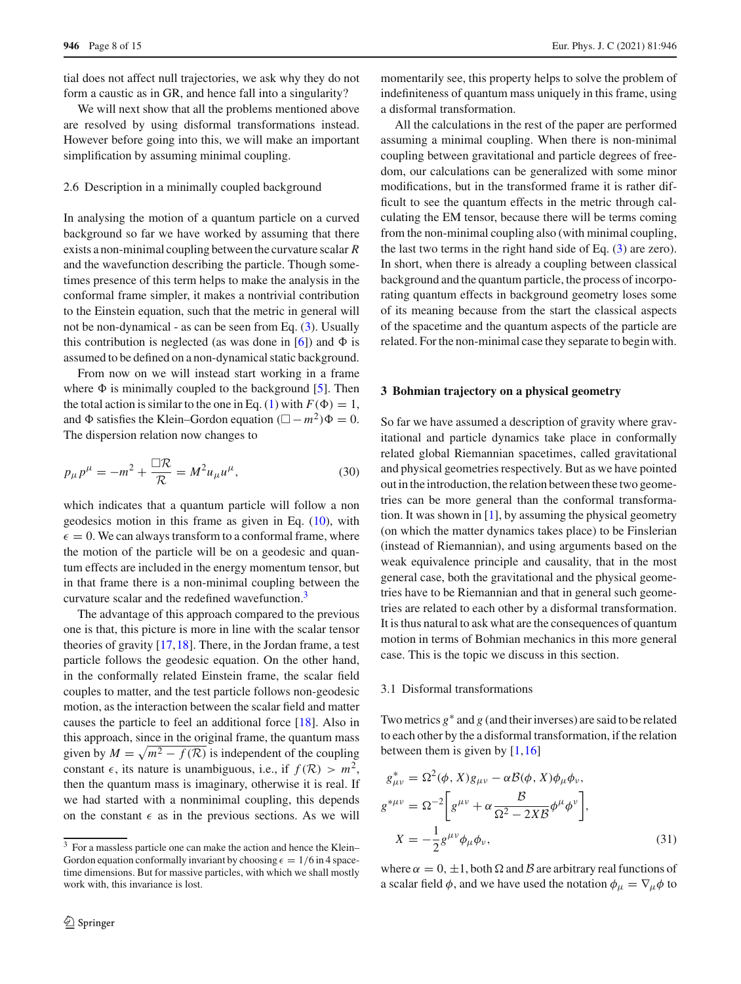tial does not affect null trajectories, we ask why they do not form a caustic as in GR, and hence fall into a singularity?

We will next show that all the problems mentioned above are resolved by using disformal transformations instead. However before going into this, we will make an important simplification by assuming minimal coupling.

#### <span id="page-7-4"></span>2.6 Description in a minimally coupled background

In analysing the motion of a quantum particle on a curved background so far we have worked by assuming that there exists a non-minimal coupling between the curvature scalar *R* and the wavefunction describing the particle. Though sometimes presence of this term helps to make the analysis in the conformal frame simpler, it makes a nontrivial contribution to the Einstein equation, such that the metric in general will not be non-dynamical - as can be seen from Eq. [\(3\)](#page-2-1). Usually this contribution is neglected (as was done in [\[6\]](#page-14-4)) and  $\Phi$  is assumed to be defined on a non-dynamical static background.

From now on we will instead start working in a frame where  $\Phi$  is minimally coupled to the background [\[5](#page-14-3)]. Then the total action is similar to the one in Eq. [\(1\)](#page-2-0) with  $F(\Phi) = 1$ , and  $\Phi$  satisfies the Klein–Gordon equation  $(\Box - m^2)\Phi = 0$ . The dispersion relation now changes to

$$
p_{\mu}p^{\mu} = -m^2 + \frac{\Box \mathcal{R}}{\mathcal{R}} = M^2 u_{\mu} u^{\mu}, \qquad (30)
$$

which indicates that a quantum particle will follow a non geodesics motion in this frame as given in Eq. [\(10\)](#page-3-2), with  $\epsilon = 0$ . We can always transform to a conformal frame, where the motion of the particle will be on a geodesic and quantum effects are included in the energy momentum tensor, but in that frame there is a non-minimal coupling between the curvature scalar and the redefined wavefunction[.3](#page-7-1)

The advantage of this approach compared to the previous one is that, this picture is more in line with the scalar tensor theories of gravity  $[17,18]$  $[17,18]$ . There, in the Jordan frame, a test particle follows the geodesic equation. On the other hand, in the conformally related Einstein frame, the scalar field couples to matter, and the test particle follows non-geodesic motion, as the interaction between the scalar field and matter causes the particle to feel an additional force [\[18](#page-14-14)]. Also in this approach, since in the original frame, the quantum mass given by  $M = \sqrt{m^2 - f(\mathcal{R})}$  is independent of the coupling constant  $\epsilon$ , its nature is unambiguous, i.e., if  $f(\mathcal{R}) > m^2$ , then the quantum mass is imaginary, otherwise it is real. If we had started with a nonminimal coupling, this depends on the constant  $\epsilon$  as in the previous sections. As we will

momentarily see, this property helps to solve the problem of indefiniteness of quantum mass uniquely in this frame, using a disformal transformation.

All the calculations in the rest of the paper are performed assuming a minimal coupling. When there is non-minimal coupling between gravitational and particle degrees of freedom, our calculations can be generalized with some minor modifications, but in the transformed frame it is rather difficult to see the quantum effects in the metric through calculating the EM tensor, because there will be terms coming from the non-minimal coupling also (with minimal coupling, the last two terms in the right hand side of Eq. [\(3\)](#page-2-1) are zero). In short, when there is already a coupling between classical background and the quantum particle, the process of incorporating quantum effects in background geometry loses some of its meaning because from the start the classical aspects of the spacetime and the quantum aspects of the particle are related. For the non-minimal case they separate to begin with.

## <span id="page-7-0"></span>**3 Bohmian trajectory on a physical geometry**

<span id="page-7-2"></span>So far we have assumed a description of gravity where gravitational and particle dynamics take place in conformally related global Riemannian spacetimes, called gravitational and physical geometries respectively. But as we have pointed out in the introduction, the relation between these two geometries can be more general than the conformal transformation. It was shown in [\[1\]](#page-14-0), by assuming the physical geometry (on which the matter dynamics takes place) to be Finslerian (instead of Riemannian), and using arguments based on the weak equivalence principle and causality, that in the most general case, both the gravitational and the physical geometries have to be Riemannian and that in general such geometries are related to each other by a disformal transformation. It is thus natural to ask what are the consequences of quantum motion in terms of Bohmian mechanics in this more general case. This is the topic we discuss in this section.

# 3.1 Disformal transformations

Two metrics  $g^*$  and  $g$  (and their inverses) are said to be related to each other by the a disformal transformation, if the relation between them is given by  $[1,16]$  $[1,16]$  $[1,16]$ 

<span id="page-7-3"></span>
$$
g_{\mu\nu}^{*} = \Omega^{2}(\phi, X)g_{\mu\nu} - \alpha\mathcal{B}(\phi, X)\phi_{\mu}\phi_{\nu},
$$
  
\n
$$
g^{*\mu\nu} = \Omega^{-2}\bigg[g^{\mu\nu} + \alpha\frac{\mathcal{B}}{\Omega^{2} - 2XB}\phi^{\mu}\phi^{\nu}\bigg],
$$
  
\n
$$
X = -\frac{1}{2}g^{\mu\nu}\phi_{\mu}\phi_{\nu},
$$
\n(31)

where  $\alpha = 0, \pm 1$ , both  $\Omega$  and  $\beta$  are arbitrary real functions of a scalar field  $\phi$ , and we have used the notation  $\phi_{\mu} = \nabla_{\mu} \phi$  to

<span id="page-7-1"></span> $\frac{3}{3}$  For a massless particle one can make the action and hence the Klein– Gordon equation conformally invariant by choosing  $\epsilon = 1/6$  in 4 spacetime dimensions. But for massive particles, with which we shall mostly work with, this invariance is lost.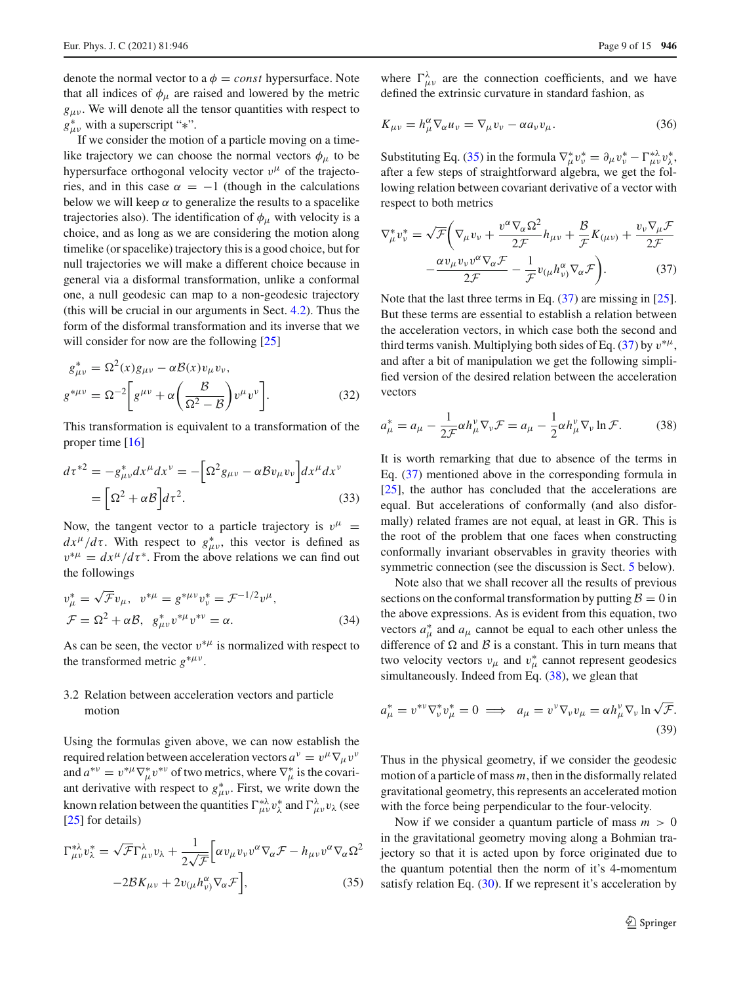denote the normal vector to a  $\phi = const$  hypersurface. Note that all indices of  $\phi_{\mu}$  are raised and lowered by the metric  $g_{\mu\nu}$ . We will denote all the tensor quantities with respect to  $g^*_{\mu\nu}$  with a superscript "\*".

If we consider the motion of a particle moving on a timelike trajectory we can choose the normal vectors  $\phi_{\mu}$  to be hypersurface orthogonal velocity vector  $v^{\mu}$  of the trajectories, and in this case  $\alpha = -1$  (though in the calculations below we will keep  $\alpha$  to generalize the results to a spacelike trajectories also). The identification of  $\phi_{\mu}$  with velocity is a choice, and as long as we are considering the motion along timelike (or spacelike) trajectory this is a good choice, but for null trajectories we will make a different choice because in general via a disformal transformation, unlike a conformal one, a null geodesic can map to a non-geodesic trajectory (this will be crucial in our arguments in Sect. [4.2\)](#page-10-0). Thus the form of the disformal transformation and its inverse that we will consider for now are the following [\[25](#page-14-21)]

<span id="page-8-4"></span>
$$
g_{\mu\nu}^{*} = \Omega^{2}(x)g_{\mu\nu} - \alpha\mathcal{B}(x)v_{\mu}v_{\nu},
$$
  

$$
g^{*\mu\nu} = \Omega^{-2}\left[g^{\mu\nu} + \alpha\left(\frac{\mathcal{B}}{\Omega^{2} - \mathcal{B}}\right)v^{\mu}v^{\nu}\right].
$$
 (32)

This transformation is equivalent to a transformation of the proper time [\[16](#page-14-11)]

$$
d\tau^{*2} = -g_{\mu\nu}^{*} dx^{\mu} dx^{\nu} = -\left[\Omega^{2} g_{\mu\nu} - \alpha \mathcal{B} v_{\mu} v_{\nu}\right] dx^{\mu} dx^{\nu}
$$

$$
= \left[\Omega^{2} + \alpha \mathcal{B}\right] d\tau^{2}.
$$
(33)

Now, the tangent vector to a particle trajectory is  $v^{\mu}$  =  $dx^{\mu}/d\tau$ . With respect to  $g^*_{\mu\nu}$ , this vector is defined as  $v^* = dx^{\mu}/d\tau^*$ . From the above relations we can find out the followings

$$
v_{\mu}^{*} = \sqrt{\mathcal{F}} v_{\mu}, \quad v^{*\mu} = g^{*\mu\nu} v_{\nu}^{*} = \mathcal{F}^{-1/2} v^{\mu},
$$
  

$$
\mathcal{F} = \Omega^{2} + \alpha \mathcal{B}, \quad g_{\mu\nu}^{*} v^{*\mu} v^{*\nu} = \alpha.
$$
 (34)

As can be seen, the vector  $v^{*\mu}$  is normalized with respect to the transformed metric *g*∗μν .

# 3.2 Relation between acceleration vectors and particle motion

Using the formulas given above, we can now establish the required relation between acceleration vectors  $a^{\nu} = v^{\mu} \nabla_{\mu} v^{\nu}$ and  $a^{*v} = v^{*\mu} \nabla^*_{\mu} v^{*\nu}$  of two metrics, where  $\nabla^*_{\mu}$  is the covariant derivative with respect to  $g^*_{\mu\nu}$ . First, we write down the known relation between the quantities  $\Gamma^{\ast\lambda}_{\mu\nu}v^*_{\lambda}$  and  $\Gamma^{\lambda}_{\mu\nu}v_{\lambda}$  (see [\[25](#page-14-21)] for details)

<span id="page-8-0"></span>
$$
\Gamma^{\ast\lambda}_{\mu\nu} v^{\ast}_{\lambda} = \sqrt{\mathcal{F}} \Gamma^{\lambda}_{\mu\nu} v_{\lambda} + \frac{1}{2\sqrt{\mathcal{F}}} \Big[ \alpha v_{\mu} v_{\nu} v^{\alpha} \nabla_{\alpha} \mathcal{F} - h_{\mu\nu} v^{\alpha} \nabla_{\alpha} \Omega^{2} -2 \mathcal{B} K_{\mu\nu} + 2 v_{(\mu} h^{\alpha}_{\nu)} \nabla_{\alpha} \mathcal{F} \Big],
$$
\n(35)

where  $\Gamma_{\mu\nu}^{\lambda}$  are the connection coefficients, and we have defined the extrinsic curvature in standard fashion, as

$$
K_{\mu\nu} = h_{\mu}^{\alpha} \nabla_{\alpha} u_{\nu} = \nabla_{\mu} v_{\nu} - \alpha a_{\nu} v_{\mu}.
$$
 (36)

Substituting Eq. [\(35\)](#page-8-0) in the formula  $\nabla^*_{\mu} v^*_{\nu} = \partial_{\mu} v^*_{\nu} - \Gamma^*_{\mu\nu} v^*_{\lambda}$ , after a few steps of straightforward algebra, we get the following relation between covariant derivative of a vector with respect to both metrics

<span id="page-8-1"></span>
$$
\nabla_{\mu}^{*} v_{\nu}^{*} = \sqrt{\mathcal{F}} \bigg( \nabla_{\mu} v_{\nu} + \frac{v^{\alpha} \nabla_{\alpha} \Omega^{2}}{2\mathcal{F}} h_{\mu\nu} + \frac{\mathcal{B}}{\mathcal{F}} K_{(\mu\nu)} + \frac{v_{\nu} \nabla_{\mu} \mathcal{F}}{2\mathcal{F}} - \frac{\alpha v_{\mu} v_{\nu} v^{\alpha} \nabla_{\alpha} \mathcal{F}}{2\mathcal{F}} - \frac{1}{\mathcal{F}} v_{(\mu} h_{\nu}^{\alpha} \nabla_{\alpha} \mathcal{F} \bigg). \tag{37}
$$

Note that the last three terms in Eq.  $(37)$  are missing in [\[25](#page-14-21)]. But these terms are essential to establish a relation between the acceleration vectors, in which case both the second and third terms vanish. Multiplying both sides of Eq. [\(37\)](#page-8-1) by  $v^{*\mu}$ , and after a bit of manipulation we get the following simplified version of the desired relation between the acceleration vectors

<span id="page-8-2"></span>
$$
a_{\mu}^* = a_{\mu} - \frac{1}{2\mathcal{F}} \alpha h_{\mu}^{\nu} \nabla_{\nu} \mathcal{F} = a_{\mu} - \frac{1}{2} \alpha h_{\mu}^{\nu} \nabla_{\nu} \ln \mathcal{F}.
$$
 (38)

It is worth remarking that due to absence of the terms in Eq. [\(37\)](#page-8-1) mentioned above in the corresponding formula in [\[25](#page-14-21)], the author has concluded that the accelerations are equal. But accelerations of conformally (and also disformally) related frames are not equal, at least in GR. This is the root of the problem that one faces when constructing conformally invariant observables in gravity theories with symmetric connection (see the discussion is Sect. [5](#page-13-0) below).

Note also that we shall recover all the results of previous sections on the conformal transformation by putting  $\beta = 0$  in the above expressions. As is evident from this equation, two vectors  $a^*_{\mu}$  and  $a_{\mu}$  cannot be equal to each other unless the difference of  $\Omega$  and  $\beta$  is a constant. This in turn means that two velocity vectors  $v_{\mu}$  and  $v_{\mu}^{*}$  cannot represent geodesics simultaneously. Indeed from Eq.  $(38)$ , we glean that

<span id="page-8-3"></span>
$$
a_{\mu}^* = v^{*\nu} \nabla_{\nu}^* v_{\mu}^* = 0 \implies a_{\mu} = v^{\nu} \nabla_{\nu} v_{\mu} = \alpha h_{\mu}^{\nu} \nabla_{\nu} \ln \sqrt{\mathcal{F}}.
$$
\n(39)

Thus in the physical geometry, if we consider the geodesic motion of a particle of mass *m*, then in the disformally related gravitational geometry, this represents an accelerated motion with the force being perpendicular to the four-velocity.

Now if we consider a quantum particle of mass  $m > 0$ in the gravitational geometry moving along a Bohmian trajectory so that it is acted upon by force originated due to the quantum potential then the norm of it's 4-momentum satisfy relation Eq.  $(30)$ . If we represent it's acceleration by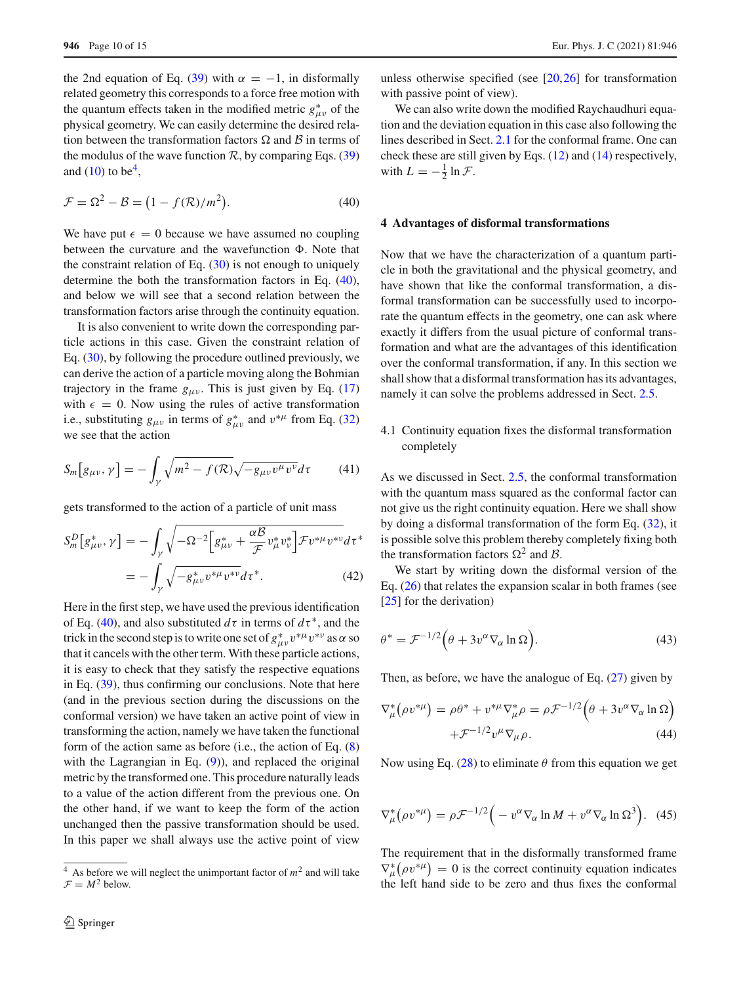the 2nd equation of Eq. [\(39\)](#page-8-3) with  $\alpha = -1$ , in disformally related geometry this corresponds to a force free motion with the quantum effects taken in the modified metric  $g^*_{\mu\nu}$  of the physical geometry. We can easily determine the desired relation between the transformation factors  $\Omega$  and  $\beta$  in terms of the modulus of the wave function  $R$ , by comparing Eqs. [\(39\)](#page-8-3) and  $(10)$  to be<sup>4</sup>,

<span id="page-9-2"></span>
$$
\mathcal{F} = \Omega^2 - \mathcal{B} = (1 - f(\mathcal{R})/m^2). \tag{40}
$$

We have put  $\epsilon = 0$  because we have assumed no coupling between the curvature and the wavefunction  $\Phi$ . Note that the constraint relation of Eq.  $(30)$  is not enough to uniquely determine the both the transformation factors in Eq. [\(40\)](#page-9-2), and below we will see that a second relation between the transformation factors arise through the continuity equation.

It is also convenient to write down the corresponding particle actions in this case. Given the constraint relation of Eq. [\(30\)](#page-7-2), by following the procedure outlined previously, we can derive the action of a particle moving along the Bohmian trajectory in the frame  $g_{\mu\nu}$ . This is just given by Eq. [\(17\)](#page-4-4) with  $\epsilon = 0$ . Now using the rules of active transformation i.e., substituting  $g_{\mu\nu}$  in terms of  $g_{\mu\nu}^*$  and  $v^{*\mu}$  from Eq. [\(32\)](#page-8-4) we see that the action

$$
S_m[g_{\mu\nu}, \gamma] = -\int_{\gamma} \sqrt{m^2 - f(\mathcal{R})} \sqrt{-g_{\mu\nu}v^{\mu}v^{\nu}} d\tau \qquad (41)
$$

gets transformed to the action of a particle of unit mass

$$
S_m^D[g_{\mu\nu}^*, \gamma] = -\int_{\gamma} \sqrt{-\Omega^{-2} \Big[g_{\mu\nu}^* + \frac{\alpha \mathcal{B}}{\mathcal{F}} v_{\mu}^* v_{\nu}^* \Big] \mathcal{F} v^{*\mu} v^{*\nu} d\tau^*}
$$
  
= 
$$
- \int_{\gamma} \sqrt{-g_{\mu\nu}^* v^{*\mu} v^{*\nu}} d\tau^*.
$$
 (42)

Here in the first step, we have used the previous identification of Eq. [\(40\)](#page-9-2), and also substituted  $d\tau$  in terms of  $d\tau^*$ , and the trick in the second step is to write one set of  $g^*_{\mu\nu}v^{*\mu}v^{*\nu}$  as  $\alpha$  so that it cancels with the other term. With these particle actions, it is easy to check that they satisfy the respective equations in Eq. [\(39\)](#page-8-3), thus confirming our conclusions. Note that here (and in the previous section during the discussions on the conformal version) we have taken an active point of view in transforming the action, namely we have taken the functional form of the action same as before (i.e., the action of Eq. [\(8\)](#page-3-1) with the Lagrangian in Eq. [\(9\)](#page-3-3)), and replaced the original metric by the transformed one. This procedure naturally leads to a value of the action different from the previous one. On the other hand, if we want to keep the form of the action unchanged then the passive transformation should be used. In this paper we shall always use the active point of view

unless otherwise specified (see  $[20, 26]$  $[20, 26]$  for transformation with passive point of view).

We can also write down the modified Raychaudhuri equation and the deviation equation in this case also following the lines described in Sect. [2.1](#page-1-1) for the conformal frame. One can check these are still given by Eqs. [\(12\)](#page-3-4) and [\(14\)](#page-4-5) respectively, with  $L = -\frac{1}{2} \ln \mathcal{F}$ .

### <span id="page-9-0"></span>**4 Advantages of disformal transformations**

Now that we have the characterization of a quantum particle in both the gravitational and the physical geometry, and have shown that like the conformal transformation, a disformal transformation can be successfully used to incorporate the quantum effects in the geometry, one can ask where exactly it differs from the usual picture of conformal transformation and what are the advantages of this identification over the conformal transformation, if any. In this section we shall show that a disformal transformation has its advantages, namely it can solve the problems addressed in Sect. [2.5.](#page-6-0)

<span id="page-9-3"></span>4.1 Continuity equation fixes the disformal transformation completely

As we discussed in Sect. [2.5,](#page-6-0) the conformal transformation with the quantum mass squared as the conformal factor can not give us the right continuity equation. Here we shall show by doing a disformal transformation of the form Eq. [\(32\)](#page-8-4), it is possible solve this problem thereby completely fixing both the transformation factors  $\Omega^2$  and *B*.

<span id="page-9-4"></span>We start by writing down the disformal version of the Eq. [\(26\)](#page-6-3) that relates the expansion scalar in both frames (see [\[25](#page-14-21)] for the derivation)

$$
\theta^* = \mathcal{F}^{-1/2} \Big( \theta + 3v^{\alpha} \nabla_{\alpha} \ln \Omega \Big). \tag{43}
$$

Then, as before, we have the analogue of Eq.  $(27)$  given by

$$
\nabla_{\mu}^{*}(\rho v^{*\mu}) = \rho \theta^{*} + v^{*\mu} \nabla_{\mu}^{*} \rho = \rho \mathcal{F}^{-1/2} \left(\theta + 3v^{\alpha} \nabla_{\alpha} \ln \Omega\right) \n+ \mathcal{F}^{-1/2} v^{\mu} \nabla_{\mu} \rho.
$$
\n(44)

Now using Eq. [\(28\)](#page-6-2) to eliminate  $\theta$  from this equation we get

$$
\nabla_{\mu}^{*}(\rho v^{*\mu}) = \rho \mathcal{F}^{-1/2} \Big( -v^{\alpha} \nabla_{\alpha} \ln M + v^{\alpha} \nabla_{\alpha} \ln \Omega^{3} \Big). \tag{45}
$$

The requirement that in the disformally transformed frame  $\nabla^*_{\mu}(\rho v^{*\mu}) = 0$  is the correct continuity equation indicates the left hand side to be zero and thus fixes the conformal

<span id="page-9-1"></span><sup>&</sup>lt;sup>4</sup> As before we will neglect the unimportant factor of  $m<sup>2</sup>$  and will take  $F = M^2$  below.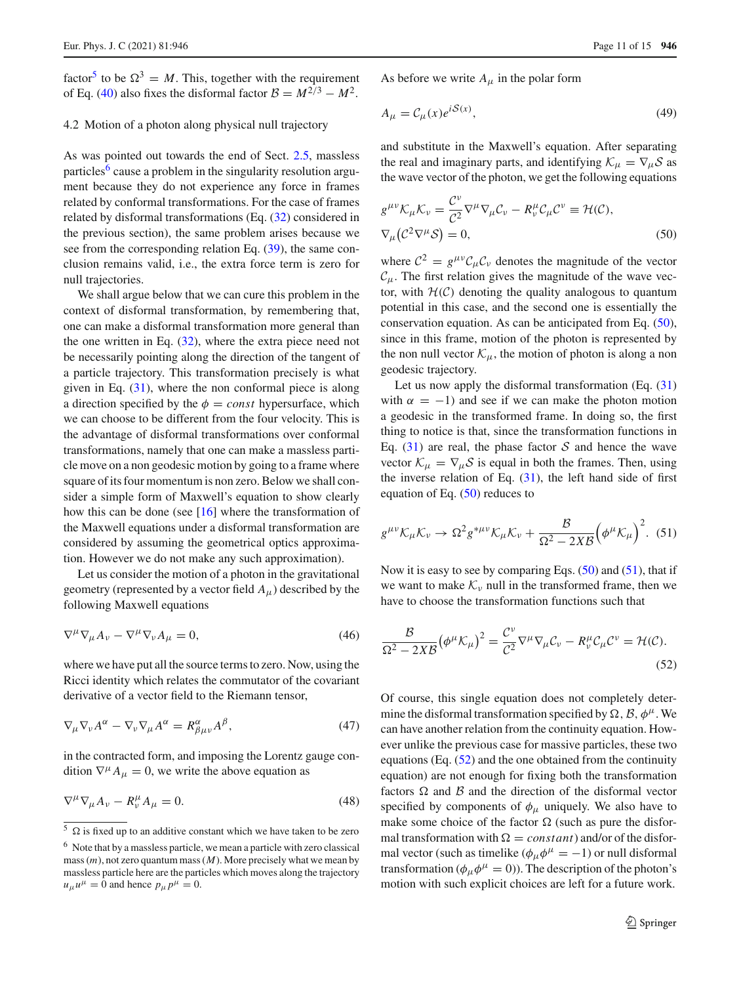factor<sup>[5](#page-10-1)</sup> to be  $\Omega^3 = M$ . This, together with the requirement of Eq. [\(40\)](#page-9-2) also fixes the disformal factor  $B = M^{2/3} - M^2$ .

#### <span id="page-10-0"></span>4.2 Motion of a photon along physical null trajectory

As was pointed out towards the end of Sect. [2.5,](#page-6-0) massless particles<sup>[6](#page-10-2)</sup> cause a problem in the singularity resolution argument because they do not experience any force in frames related by conformal transformations. For the case of frames related by disformal transformations (Eq. [\(32\)](#page-8-4) considered in the previous section), the same problem arises because we see from the corresponding relation Eq. [\(39\)](#page-8-3), the same conclusion remains valid, i.e., the extra force term is zero for null trajectories.

We shall argue below that we can cure this problem in the context of disformal transformation, by remembering that, one can make a disformal transformation more general than the one written in Eq. [\(32\)](#page-8-4), where the extra piece need not be necessarily pointing along the direction of the tangent of a particle trajectory. This transformation precisely is what given in Eq.  $(31)$ , where the non conformal piece is along a direction specified by the  $\phi = const$  hypersurface, which we can choose to be different from the four velocity. This is the advantage of disformal transformations over conformal transformations, namely that one can make a massless particle move on a non geodesic motion by going to a frame where square of its four momentum is non zero. Below we shall consider a simple form of Maxwell's equation to show clearly how this can be done (see  $[16]$  $[16]$  where the transformation of the Maxwell equations under a disformal transformation are considered by assuming the geometrical optics approximation. However we do not make any such approximation).

Let us consider the motion of a photon in the gravitational geometry (represented by a vector field  $A_\mu$ ) described by the following Maxwell equations

$$
\nabla^{\mu}\nabla_{\mu}A_{\nu} - \nabla^{\mu}\nabla_{\nu}A_{\mu} = 0, \qquad (46)
$$

where we have put all the source terms to zero. Now, using the Ricci identity which relates the commutator of the covariant derivative of a vector field to the Riemann tensor,

$$
\nabla_{\mu}\nabla_{\nu}A^{\alpha} - \nabla_{\nu}\nabla_{\mu}A^{\alpha} = R^{\alpha}_{\beta\mu\nu}A^{\beta},\tag{47}
$$

in the contracted form, and imposing the Lorentz gauge condition  $\nabla^{\mu} A_{\mu} = 0$ , we write the above equation as

$$
\nabla^{\mu}\nabla_{\mu}A_{\nu} - R^{\mu}_{\nu}A_{\mu} = 0. \qquad (48)
$$

As before we write  $A_{\mu}$  in the polar form

$$
A_{\mu} = \mathcal{C}_{\mu}(x)e^{i\mathcal{S}(x)},\tag{49}
$$

and substitute in the Maxwell's equation. After separating the real and imaginary parts, and identifying  $K_{\mu} = \nabla_{\mu} S$  as the wave vector of the photon, we get the following equations

<span id="page-10-3"></span>
$$
g^{\mu\nu}\mathcal{K}_{\mu}\mathcal{K}_{\nu} = \frac{\mathcal{C}^{\nu}}{\mathcal{C}^{2}}\nabla^{\mu}\nabla_{\mu}\mathcal{C}_{\nu} - R_{\nu}^{\mu}\mathcal{C}_{\mu}\mathcal{C}^{\nu} \equiv \mathcal{H}(\mathcal{C}),
$$
  
\n
$$
\nabla_{\mu}(\mathcal{C}^{2}\nabla^{\mu}\mathcal{S}) = 0,
$$
\n(50)

where  $C^2 = g^{\mu\nu}C_\mu C_\nu$  denotes the magnitude of the vector  $C_{\mu}$ . The first relation gives the magnitude of the wave vector, with  $H(C)$  denoting the quality analogous to quantum potential in this case, and the second one is essentially the conservation equation. As can be anticipated from Eq. [\(50\)](#page-10-3), since in this frame, motion of the photon is represented by the non null vector  $K_{\mu}$ , the motion of photon is along a non geodesic trajectory.

Let us now apply the disformal transformation (Eq. [\(31\)](#page-7-3) with  $\alpha = -1$ ) and see if we can make the photon motion a geodesic in the transformed frame. In doing so, the first thing to notice is that, since the transformation functions in Eq.  $(31)$  are real, the phase factor *S* and hence the wave vector  $K_{\mu} = \nabla_{\mu} S$  is equal in both the frames. Then, using the inverse relation of Eq.  $(31)$ , the left hand side of first equation of Eq.  $(50)$  reduces to

<span id="page-10-4"></span>
$$
g^{\mu\nu} \mathcal{K}_{\mu} \mathcal{K}_{\nu} \to \Omega^2 g^{*\mu\nu} \mathcal{K}_{\mu} \mathcal{K}_{\nu} + \frac{\mathcal{B}}{\Omega^2 - 2XB} \left( \phi^{\mu} \mathcal{K}_{\mu} \right)^2. (51)
$$

<span id="page-10-5"></span>Now it is easy to see by comparing Eqs.  $(50)$  and  $(51)$ , that if we want to make  $K_v$  null in the transformed frame, then we have to choose the transformation functions such that

$$
\frac{\mathcal{B}}{\Omega^2 - 2XB} \left( \phi^\mu \mathcal{K}_\mu \right)^2 = \frac{\mathcal{C}^\nu}{\mathcal{C}^2} \nabla^\mu \nabla_\mu \mathcal{C}_\nu - R^\mu_\nu \mathcal{C}_\mu \mathcal{C}^\nu = \mathcal{H}(\mathcal{C}).
$$
\n(52)

Of course, this single equation does not completely determine the disformal transformation specified by  $\Omega$ ,  $\beta$ ,  $\phi^{\mu}$ . We can have another relation from the continuity equation. However unlike the previous case for massive particles, these two equations (Eq. [\(52\)](#page-10-5) and the one obtained from the continuity equation) are not enough for fixing both the transformation factors  $\Omega$  and  $\beta$  and the direction of the disformal vector specified by components of  $\phi_{\mu}$  uniquely. We also have to make some choice of the factor  $\Omega$  (such as pure the disformal transformation with  $\Omega = constant$  and/or of the disformal vector (such as timelike ( $\phi_{\mu} \phi^{\mu} = -1$ ) or null disformal transformation ( $\phi_{\mu}\phi^{\mu} = 0$ )). The description of the photon's motion with such explicit choices are left for a future work.

<span id="page-10-2"></span><span id="page-10-1"></span> $5 \Omega$  is fixed up to an additive constant which we have taken to be zero <sup>6</sup> Note that by a massless particle, we mean a particle with zero classical mass (*m*), not zero quantum mass (*M*). More precisely what we mean by massless particle here are the particles which moves along the trajectory  $u_{\mu}u^{\mu} = 0$  and hence  $p_{\mu}p^{\mu} = 0$ .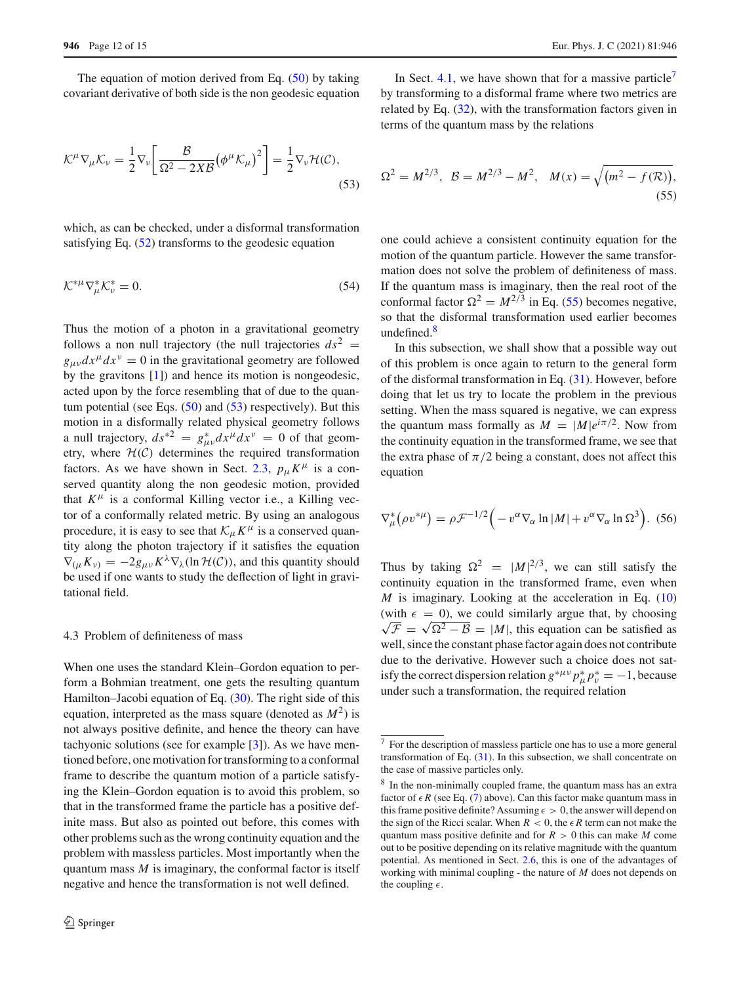<span id="page-11-0"></span>The equation of motion derived from Eq. [\(50\)](#page-10-3) by taking covariant derivative of both side is the non geodesic equation

$$
\mathcal{K}^{\mu}\nabla_{\mu}\mathcal{K}_{\nu} = \frac{1}{2}\nabla_{\nu}\bigg[\frac{\mathcal{B}}{\Omega^2 - 2XB}(\phi^{\mu}\mathcal{K}_{\mu})^2\bigg] = \frac{1}{2}\nabla_{\nu}\mathcal{H}(\mathcal{C}),\tag{53}
$$

which, as can be checked, under a disformal transformation satisfying Eq. [\(52\)](#page-10-5) transforms to the geodesic equation

$$
\mathcal{K}^{*\mu}\nabla_{\mu}^*\mathcal{K}^*_{\nu} = 0. \tag{54}
$$

Thus the motion of a photon in a gravitational geometry follows a non null trajectory (the null trajectories  $ds^2 =$  $g_{\mu\nu}dx^{\mu}dx^{\nu} = 0$  in the gravitational geometry are followed by the gravitons [\[1](#page-14-0)]) and hence its motion is nongeodesic, acted upon by the force resembling that of due to the quantum potential (see Eqs.  $(50)$  and  $(53)$  respectively). But this motion in a disformally related physical geometry follows a null trajectory,  $ds^{*2} = g_{\mu\nu}^* dx^{\mu} dx^{\nu} = 0$  of that geometry, where  $H(C)$  determines the required transformation factors. As we have shown in Sect. [2.3,](#page-4-6)  $p_{\mu}K^{\mu}$  is a conserved quantity along the non geodesic motion, provided that  $K^{\mu}$  is a conformal Killing vector i.e., a Killing vector of a conformally related metric. By using an analogous procedure, it is easy to see that  $\mathcal{K}_{\mu} K^{\mu}$  is a conserved quantity along the photon trajectory if it satisfies the equation  $\nabla_{(\mu} K_{\nu)} = -2g_{\mu\nu} K^{\lambda} \nabla_{\lambda} (\ln \mathcal{H}(\mathcal{C}))$ , and this quantity should be used if one wants to study the deflection of light in gravitational field.

# 4.3 Problem of definiteness of mass

When one uses the standard Klein–Gordon equation to perform a Bohmian treatment, one gets the resulting quantum Hamilton–Jacobi equation of Eq. [\(30\)](#page-7-2). The right side of this equation, interpreted as the mass square (denoted as  $M^2$ ) is not always positive definite, and hence the theory can have tachyonic solutions (see for example [\[3](#page-14-8)]). As we have mentioned before, one motivation for transforming to a conformal frame to describe the quantum motion of a particle satisfying the Klein–Gordon equation is to avoid this problem, so that in the transformed frame the particle has a positive definite mass. But also as pointed out before, this comes with other problems such as the wrong continuity equation and the problem with massless particles. Most importantly when the quantum mass *M* is imaginary, the conformal factor is itself negative and hence the transformation is not well defined.

<span id="page-11-2"></span>In Sect. [4.1,](#page-9-3) we have shown that for a massive particle<sup>7</sup> by transforming to a disformal frame where two metrics are related by Eq. [\(32\)](#page-8-4), with the transformation factors given in terms of the quantum mass by the relations

$$
\Omega^2 = M^{2/3}, \ \ \mathcal{B} = M^{2/3} - M^2, \ \ M(x) = \sqrt{(m^2 - f(R))}, \tag{55}
$$

one could achieve a consistent continuity equation for the motion of the quantum particle. However the same transformation does not solve the problem of definiteness of mass. If the quantum mass is imaginary, then the real root of the conformal factor  $\Omega^2 = M^{2/3}$  in Eq. [\(55\)](#page-11-2) becomes negative, so that the disformal transformation used earlier becomes undefined. $8$ 

In this subsection, we shall show that a possible way out of this problem is once again to return to the general form of the disformal transformation in Eq. [\(31\)](#page-7-3). However, before doing that let us try to locate the problem in the previous setting. When the mass squared is negative, we can express the quantum mass formally as  $M = |M|e^{i\pi/2}$ . Now from the continuity equation in the transformed frame, we see that the extra phase of  $\pi/2$  being a constant, does not affect this equation

<span id="page-11-4"></span>
$$
\nabla_{\mu}^* (\rho v^{*\mu}) = \rho \mathcal{F}^{-1/2} \Big( -v^{\alpha} \nabla_{\alpha} \ln |M| + v^{\alpha} \nabla_{\alpha} \ln \Omega^3 \Big). \tag{56}
$$

Thus by taking  $\Omega^2 = |M|^{2/3}$ , we can still satisfy the continuity equation in the transformed frame, even when *M* is imaginary. Looking at the acceleration in Eq. [\(10\)](#page-3-2) (with  $\epsilon = 0$ ), we could similarly argue that, by choosing  $\sqrt{\mathcal{F}} = \sqrt{\Omega^2 - \mathcal{B}} = |\mathcal{M}|$ , this equation can be satisfied as well, since the constant phase factor again does not contribute due to the derivative. However such a choice does not satisfy the correct dispersion relation  $g^{*\mu\nu} p^*_{\mu} p^*_{\nu} = -1$ , because under such a transformation, the required relation

<span id="page-11-1"></span><sup>7</sup> For the description of massless particle one has to use a more general transformation of Eq. [\(31\)](#page-7-3). In this subsection, we shall concentrate on the case of massive particles only.

<span id="page-11-3"></span><sup>8</sup> In the non-minimally coupled frame, the quantum mass has an extra factor of  $\epsilon R$  (see Eq. [\(7\)](#page-2-5) above). Can this factor make quantum mass in this frame positive definite? Assuming  $\epsilon > 0$ , the answer will depend on the sign of the Ricci scalar. When  $R < 0$ , the  $\epsilon R$  term can not make the quantum mass positive definite and for  $R > 0$  this can make *M* come out to be positive depending on its relative magnitude with the quantum potential. As mentioned in Sect. [2.6,](#page-7-4) this is one of the advantages of working with minimal coupling - the nature of *M* does not depends on the coupling  $\epsilon$ .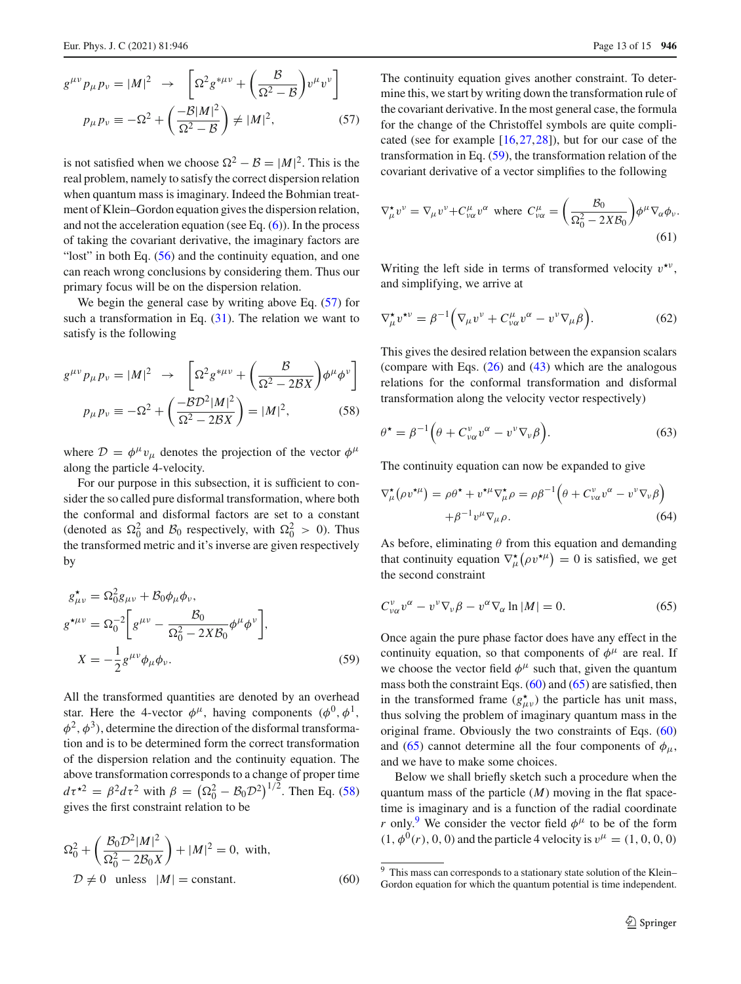$$
g^{\mu\nu}p_{\mu}p_{\nu} = |M|^2 \rightarrow \left[\Omega^2 g^{*\mu\nu} + \left(\frac{B}{\Omega^2 - B}\right)v^{\mu}v^{\nu}\right]
$$

$$
p_{\mu}p_{\nu} \equiv -\Omega^2 + \left(\frac{-B|M|^2}{\Omega^2 - B}\right) \neq |M|^2,\tag{57}
$$

is not satisfied when we choose  $\Omega^2 - \mathcal{B} = |M|^2$ . This is the real problem, namely to satisfy the correct dispersion relation when quantum mass is imaginary. Indeed the Bohmian treatment of Klein–Gordon equation gives the dispersion relation, and not the acceleration equation (see Eq.  $(6)$ ). In the process of taking the covariant derivative, the imaginary factors are "lost" in both Eq.  $(56)$  and the continuity equation, and one can reach wrong conclusions by considering them. Thus our primary focus will be on the dispersion relation.

We begin the general case by writing above Eq. [\(57\)](#page-12-0) for such a transformation in Eq.  $(31)$ . The relation we want to satisfy is the following

$$
g^{\mu\nu}p_{\mu}p_{\nu} = |M|^2 \rightarrow \left[\Omega^2 g^{*\mu\nu} + \left(\frac{\mathcal{B}}{\Omega^2 - 2\mathcal{B}X}\right)\phi^{\mu}\phi^{\nu}\right]
$$

$$
p_{\mu}p_{\nu} \equiv -\Omega^2 + \left(\frac{-\mathcal{B}\mathcal{D}^2|M|^2}{\Omega^2 - 2\mathcal{B}X}\right) = |M|^2,\tag{58}
$$

where  $\mathcal{D} = \phi^{\mu} v_{\mu}$  denotes the projection of the vector  $\phi^{\mu}$ along the particle 4-velocity.

For our purpose in this subsection, it is sufficient to consider the so called pure disformal transformation, where both the conformal and disformal factors are set to a constant (denoted as  $\Omega_0^2$  and  $\mathcal{B}_0$  respectively, with  $\Omega_0^2 > 0$ ). Thus the transformed metric and it's inverse are given respectively by

$$
g_{\mu\nu}^{\star} = \Omega_0^2 g_{\mu\nu} + \mathcal{B}_0 \phi_{\mu} \phi_{\nu},
$$
  
\n
$$
g^{\star \mu\nu} = \Omega_0^{-2} \bigg[ g^{\mu\nu} - \frac{\mathcal{B}_0}{\Omega_0^2 - 2X\mathcal{B}_0} \phi^{\mu} \phi^{\nu} \bigg],
$$
  
\n
$$
X = -\frac{1}{2} g^{\mu\nu} \phi_{\mu} \phi_{\nu}.
$$
\n(59)

All the transformed quantities are denoted by an overhead star. Here the 4-vector  $\phi^{\mu}$ , having components  $(\phi^0, \phi^1,$  $\phi^2$ ,  $\phi^3$ ), determine the direction of the disformal transformation and is to be determined form the correct transformation of the dispersion relation and the continuity equation. The above transformation corresponds to a change of proper time  $d\tau^{\star 2} = \beta^2 d\tau^2$  with  $\beta = (\Omega_0^2 - \mathcal{B}_0 \mathcal{D}^2)^{1/2}$ . Then Eq. [\(58\)](#page-12-1) gives the first constraint relation to be

$$
\Omega_0^2 + \left(\frac{\mathcal{B}_0 \mathcal{D}^2 |M|^2}{\Omega_0^2 - 2\mathcal{B}_0 X}\right) + |M|^2 = 0, \text{ with,}
$$
  

$$
\mathcal{D} \neq 0 \quad \text{unless} \quad |M| = \text{constant.}
$$
 (60)

<span id="page-12-0"></span>The continuity equation gives another constraint. To determine this, we start by writing down the transformation rule of the covariant derivative. In the most general case, the formula for the change of the Christoffel symbols are quite complicated (see for example [\[16](#page-14-11),[27,](#page-14-23)[28\]](#page-14-24)), but for our case of the transformation in Eq. [\(59\)](#page-12-2), the transformation relation of the covariant derivative of a vector simplifies to the following

$$
\nabla_{\mu}^{\star} v^{\nu} = \nabla_{\mu} v^{\nu} + C_{\nu\alpha}^{\mu} v^{\alpha} \text{ where } C_{\nu\alpha}^{\mu} = \left(\frac{\mathcal{B}_0}{\Omega_0^2 - 2X\mathcal{B}_0}\right) \phi^{\mu} \nabla_{\alpha} \phi_{\nu}.
$$
\n(61)

Writing the left side in terms of transformed velocity  $v^{\star \nu}$ , and simplifying, we arrive at

$$
\nabla_{\mu}^{\star} v^{\star \nu} = \beta^{-1} \Big( \nabla_{\mu} v^{\nu} + C_{\nu \alpha}^{\mu} v^{\alpha} - v^{\nu} \nabla_{\mu} \beta \Big). \tag{62}
$$

<span id="page-12-1"></span>This gives the desired relation between the expansion scalars (compare with Eqs.  $(26)$  and  $(43)$  which are the analogous relations for the conformal transformation and disformal transformation along the velocity vector respectively)

$$
\theta^* = \beta^{-1} \Big( \theta + C_{\nu \alpha}^{\nu} v^{\alpha} - v^{\nu} \nabla_{\nu} \beta \Big). \tag{63}
$$

The continuity equation can now be expanded to give

$$
\nabla_{\mu}^{\star} (\rho v^{\star \mu}) = \rho \theta^{\star} + v^{\star \mu} \nabla_{\mu}^{\star} \rho = \rho \beta^{-1} \left( \theta + C_{\nu \alpha}^{\nu} v^{\alpha} - v^{\nu} \nabla_{\nu} \beta \right) + \beta^{-1} v^{\mu} \nabla_{\mu} \rho.
$$
 (64)

<span id="page-12-4"></span>As before, eliminating  $\theta$  from this equation and demanding that continuity equation  $\nabla_{\mu}^{\star}(\rho v^{\star \mu}) = 0$  is satisfied, we get the second constraint

$$
C_{\nu\alpha}^{\nu}v^{\alpha} - v^{\nu}\nabla_{\nu}\beta - v^{\alpha}\nabla_{\alpha}\ln|M| = 0.
$$
 (65)

<span id="page-12-2"></span>Once again the pure phase factor does have any effect in the continuity equation, so that components of  $\phi^{\mu}$  are real. If we choose the vector field  $\phi^{\mu}$  such that, given the quantum mass both the constraint Eqs.  $(60)$  and  $(65)$  are satisfied, then in the transformed frame  $(g_{\mu\nu}^{\star})$  the particle has unit mass, thus solving the problem of imaginary quantum mass in the original frame. Obviously the two constraints of Eqs. [\(60\)](#page-12-3) and [\(65\)](#page-12-4) cannot determine all the four components of  $\phi_{\mu}$ , and we have to make some choices.

Below we shall briefly sketch such a procedure when the quantum mass of the particle (*M*) moving in the flat spacetime is imaginary and is a function of the radial coordinate *r* only.<sup>[9](#page-12-5)</sup> We consider the vector field  $\phi^{\mu}$  to be of the form  $(1, \phi^{0}(r), 0, 0)$  and the particle 4 velocity is  $v^{\mu} = (1, 0, 0, 0)$ 

<span id="page-12-5"></span><span id="page-12-3"></span><sup>9</sup> This mass can corresponds to a stationary state solution of the Klein– Gordon equation for which the quantum potential is time independent.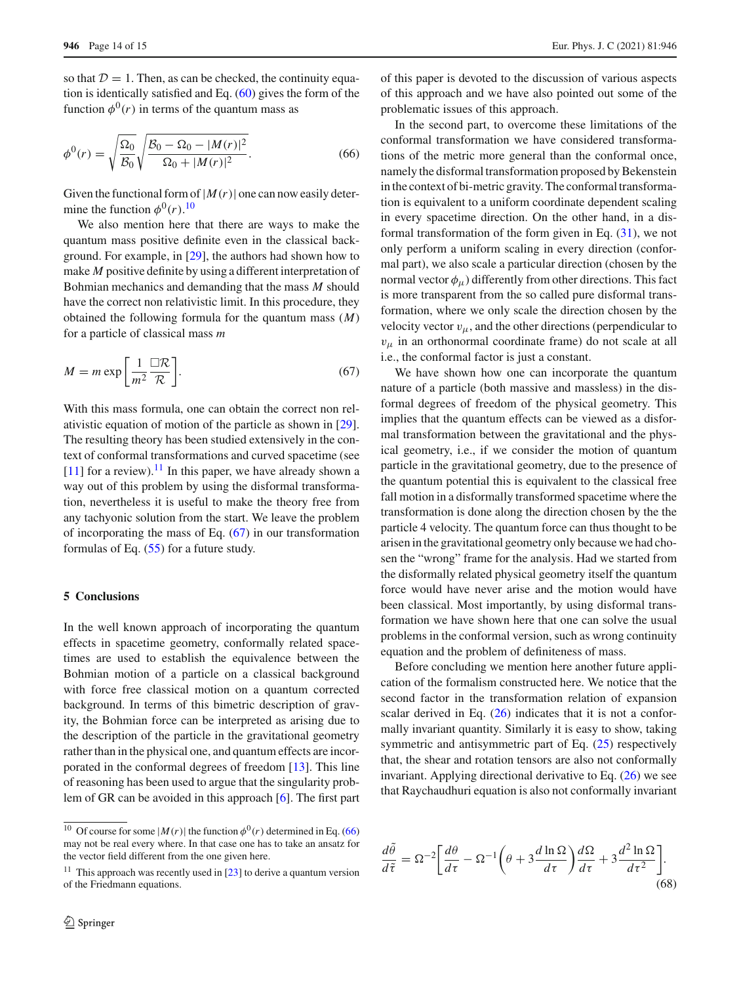so that  $D = 1$ . Then, as can be checked, the continuity equation is identically satisfied and Eq. [\(60\)](#page-12-3) gives the form of the function  $\phi^0(r)$  in terms of the quantum mass as

$$
\phi^{0}(r) = \sqrt{\frac{\Omega_{0}}{B_{0}}}\sqrt{\frac{B_{0} - \Omega_{0} - |M(r)|^{2}}{\Omega_{0} + |M(r)|^{2}}}.
$$
\n(66)

Given the functional form of  $|M(r)|$  one can now easily determine the function  $\phi^0(r)$ .<sup>[10](#page-13-1)</sup>

We also mention here that there are ways to make the quantum mass positive definite even in the classical background. For example, in [\[29](#page-14-25)], the authors had shown how to make *M* positive definite by using a different interpretation of Bohmian mechanics and demanding that the mass *M* should have the correct non relativistic limit. In this procedure, they obtained the following formula for the quantum mass (*M*) for a particle of classical mass *m*

$$
M = m \exp\left[\frac{1}{m^2} \frac{\Box \mathcal{R}}{\mathcal{R}}\right].
$$
 (67)

With this mass formula, one can obtain the correct non relativistic equation of motion of the particle as shown in [\[29](#page-14-25)]. The resulting theory has been studied extensively in the context of conformal transformations and curved spacetime (see  $[11]$  $[11]$  for a review).<sup>[11](#page-13-2)</sup> In this paper, we have already shown a way out of this problem by using the disformal transformation, nevertheless it is useful to make the theory free from any tachyonic solution from the start. We leave the problem of incorporating the mass of Eq. [\(67\)](#page-13-3) in our transformation formulas of Eq.  $(55)$  for a future study.

## <span id="page-13-0"></span>**5 Conclusions**

In the well known approach of incorporating the quantum effects in spacetime geometry, conformally related spacetimes are used to establish the equivalence between the Bohmian motion of a particle on a classical background with force free classical motion on a quantum corrected background. In terms of this bimetric description of gravity, the Bohmian force can be interpreted as arising due to the description of the particle in the gravitational geometry rather than in the physical one, and quantum effects are incorporated in the conformal degrees of freedom [\[13](#page-14-7)]. This line of reasoning has been used to argue that the singularity problem of GR can be avoided in this approach [\[6](#page-14-4)]. The first part <span id="page-13-4"></span>of this paper is devoted to the discussion of various aspects of this approach and we have also pointed out some of the problematic issues of this approach.

In the second part, to overcome these limitations of the conformal transformation we have considered transformations of the metric more general than the conformal once, namely the disformal transformation proposed by Bekenstein in the context of bi-metric gravity. The conformal transformation is equivalent to a uniform coordinate dependent scaling in every spacetime direction. On the other hand, in a disformal transformation of the form given in Eq. [\(31\)](#page-7-3), we not only perform a uniform scaling in every direction (conformal part), we also scale a particular direction (chosen by the normal vector  $\phi_{\mu}$ ) differently from other directions. This fact is more transparent from the so called pure disformal transformation, where we only scale the direction chosen by the velocity vector  $v_{\mu}$ , and the other directions (perpendicular to  $v_{\mu}$  in an orthonormal coordinate frame) do not scale at all i.e., the conformal factor is just a constant.

<span id="page-13-3"></span>We have shown how one can incorporate the quantum nature of a particle (both massive and massless) in the disformal degrees of freedom of the physical geometry. This implies that the quantum effects can be viewed as a disformal transformation between the gravitational and the physical geometry, i.e., if we consider the motion of quantum particle in the gravitational geometry, due to the presence of the quantum potential this is equivalent to the classical free fall motion in a disformally transformed spacetime where the transformation is done along the direction chosen by the the particle 4 velocity. The quantum force can thus thought to be arisen in the gravitational geometry only because we had chosen the "wrong" frame for the analysis. Had we started from the disformally related physical geometry itself the quantum force would have never arise and the motion would have been classical. Most importantly, by using disformal transformation we have shown here that one can solve the usual problems in the conformal version, such as wrong continuity equation and the problem of definiteness of mass.

Before concluding we mention here another future application of the formalism constructed here. We notice that the second factor in the transformation relation of expansion scalar derived in Eq.  $(26)$  indicates that it is not a conformally invariant quantity. Similarly it is easy to show, taking symmetric and antisymmetric part of Eq. [\(25\)](#page-6-4) respectively that, the shear and rotation tensors are also not conformally invariant. Applying directional derivative to Eq. [\(26\)](#page-6-3) we see that Raychaudhuri equation is also not conformally invariant

$$
\frac{d\tilde{\theta}}{d\tilde{\tau}} = \Omega^{-2} \left[ \frac{d\theta}{d\tau} - \Omega^{-1} \left( \theta + 3 \frac{d\ln \Omega}{d\tau} \right) \frac{d\Omega}{d\tau} + 3 \frac{d^2 \ln \Omega}{d\tau^2} \right].
$$
\n(68)

<span id="page-13-1"></span><sup>&</sup>lt;sup>10</sup> Of course for some  $|M(r)|$  the function  $\phi^{0}(r)$  determined in Eq. [\(66\)](#page-13-4) may not be real every where. In that case one has to take an ansatz for the vector field different from the one given here.

<span id="page-13-2"></span> $11$  This approach was recently used in [\[23\]](#page-14-26) to derive a quantum version of the Friedmann equations.